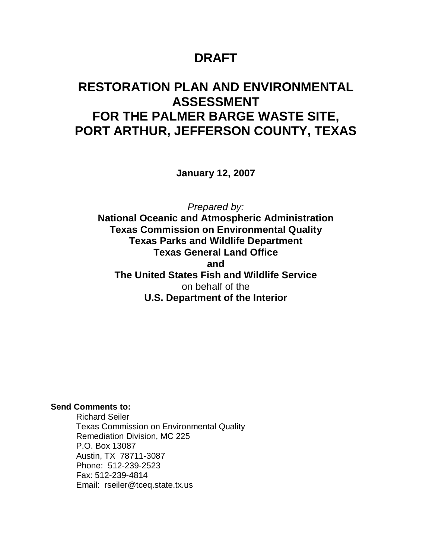### **DRAFT**

## **RESTORATION PLAN AND ENVIRONMENTAL ASSESSMENT FOR THE PALMER BARGE WASTE SITE, PORT ARTHUR, JEFFERSON COUNTY, TEXAS**

**January 12, 2007**

*Prepared by:*

**National Oceanic and Atmospheric Administration Texas Commission on Environmental Quality Texas Parks and Wildlife Department Texas General Land Office and The United States Fish and Wildlife Service** on behalf of the **U.S. Department of the Interior**

**Send Comments to:**

Richard Seiler Texas Commission on Environmental Quality Remediation Division, MC 225 P.O. Box 13087 Austin, TX 78711-3087 Phone: 512-239-2523 Fax: 512-239-4814 Email: rseiler@tceq.state.tx.us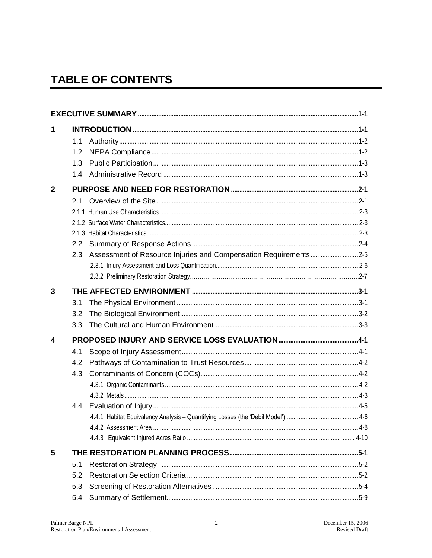# **TABLE OF CONTENTS**

| 1              |     |  |
|----------------|-----|--|
|                | 1.1 |  |
|                | 1.2 |  |
|                | 1.3 |  |
|                | 1.4 |  |
| $\overline{2}$ |     |  |
|                | 2.1 |  |
|                |     |  |
|                |     |  |
|                |     |  |
|                | 2.2 |  |
|                | 2.3 |  |
|                |     |  |
|                |     |  |
| 3              |     |  |
|                | 3.1 |  |
|                | 3.2 |  |
|                | 3.3 |  |
| 4              |     |  |
|                | 4.1 |  |
|                | 4.2 |  |
|                | 4.3 |  |
|                |     |  |
|                |     |  |
|                | 4.4 |  |
|                |     |  |
|                |     |  |
|                |     |  |
| 5              |     |  |
|                | 5.1 |  |
|                | 5.2 |  |
|                | 5.3 |  |
|                | 5.4 |  |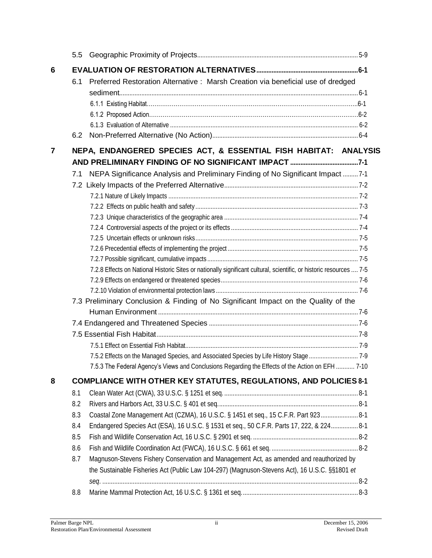| 6 |     |                                                                                                                     |  |  |  |  |
|---|-----|---------------------------------------------------------------------------------------------------------------------|--|--|--|--|
|   | 6.1 | Preferred Restoration Alternative: Marsh Creation via beneficial use of dredged                                     |  |  |  |  |
|   |     |                                                                                                                     |  |  |  |  |
|   |     |                                                                                                                     |  |  |  |  |
|   |     |                                                                                                                     |  |  |  |  |
|   |     |                                                                                                                     |  |  |  |  |
|   | 6.2 |                                                                                                                     |  |  |  |  |
| 7 |     | NEPA, ENDANGERED SPECIES ACT, & ESSENTIAL FISH HABITAT: ANALYSIS                                                    |  |  |  |  |
|   |     |                                                                                                                     |  |  |  |  |
|   | 7.1 | NEPA Significance Analysis and Preliminary Finding of No Significant Impact  7-1                                    |  |  |  |  |
|   |     |                                                                                                                     |  |  |  |  |
|   |     |                                                                                                                     |  |  |  |  |
|   |     |                                                                                                                     |  |  |  |  |
|   |     |                                                                                                                     |  |  |  |  |
|   |     |                                                                                                                     |  |  |  |  |
|   |     |                                                                                                                     |  |  |  |  |
|   |     |                                                                                                                     |  |  |  |  |
|   |     |                                                                                                                     |  |  |  |  |
|   |     | 7.2.8 Effects on National Historic Sites or nationally significant cultural, scientific, or historic resources  7-5 |  |  |  |  |
|   |     |                                                                                                                     |  |  |  |  |
|   |     |                                                                                                                     |  |  |  |  |
|   |     | 7.3 Preliminary Conclusion & Finding of No Significant Impact on the Quality of the                                 |  |  |  |  |
|   |     |                                                                                                                     |  |  |  |  |
|   |     |                                                                                                                     |  |  |  |  |
|   |     |                                                                                                                     |  |  |  |  |
|   |     |                                                                                                                     |  |  |  |  |
|   |     | 7.5.2 Effects on the Managed Species, and Associated Species by Life History Stage  7-9                             |  |  |  |  |
|   |     | 7.5.3 The Federal Agency's Views and Conclusions Regarding the Effects of the Action on EFH  7-10                   |  |  |  |  |
| 8 |     | <b>COMPLIANCE WITH OTHER KEY STATUTES, REGULATIONS, AND POLICIES 8-1</b>                                            |  |  |  |  |
|   | 8.1 |                                                                                                                     |  |  |  |  |
|   | 8.2 |                                                                                                                     |  |  |  |  |
|   | 8.3 | Coastal Zone Management Act (CZMA), 16 U.S.C. § 1451 et seq., 15 C.F.R. Part 923 8-1                                |  |  |  |  |
|   | 8.4 | Endangered Species Act (ESA), 16 U.S.C. § 1531 et seq., 50 C.F.R. Parts 17, 222, & 224 8-1                          |  |  |  |  |
|   | 8.5 |                                                                                                                     |  |  |  |  |
|   | 8.6 |                                                                                                                     |  |  |  |  |
|   | 8.7 | Magnuson-Stevens Fishery Conservation and Management Act, as amended and reauthorized by                            |  |  |  |  |
|   |     | the Sustainable Fisheries Act (Public Law 104-297) (Magnuson-Stevens Act), 16 U.S.C. §§1801 et                      |  |  |  |  |
|   |     |                                                                                                                     |  |  |  |  |
|   | 8.8 |                                                                                                                     |  |  |  |  |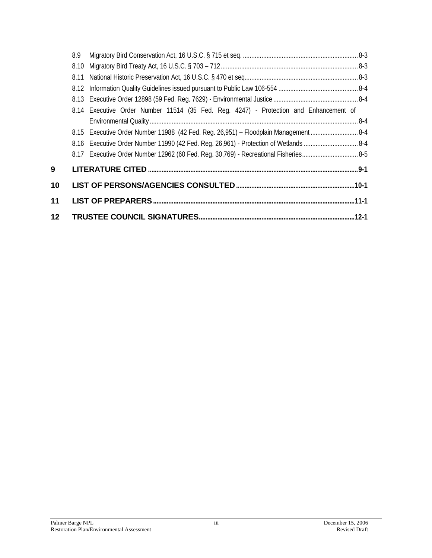|                 | 8.9  |                                                                                            |  |
|-----------------|------|--------------------------------------------------------------------------------------------|--|
|                 | 8.10 |                                                                                            |  |
|                 | 8.11 |                                                                                            |  |
|                 |      |                                                                                            |  |
|                 |      |                                                                                            |  |
|                 |      | 8.14 Executive Order Number 11514 (35 Fed. Reg. 4247) - Protection and Enhancement of      |  |
|                 |      |                                                                                            |  |
|                 |      | 8.15 Executive Order Number 11988 (42 Fed. Reg. 26,951) - Floodplain Management  8-4       |  |
|                 |      | 8-4. B.16 Executive Order Number 11990 (42 Fed. Reg. 26,961) - Protection of Wetlands  8-4 |  |
|                 |      |                                                                                            |  |
| 9               |      |                                                                                            |  |
| 10              |      |                                                                                            |  |
| 11              |      |                                                                                            |  |
| 12 <sub>2</sub> |      |                                                                                            |  |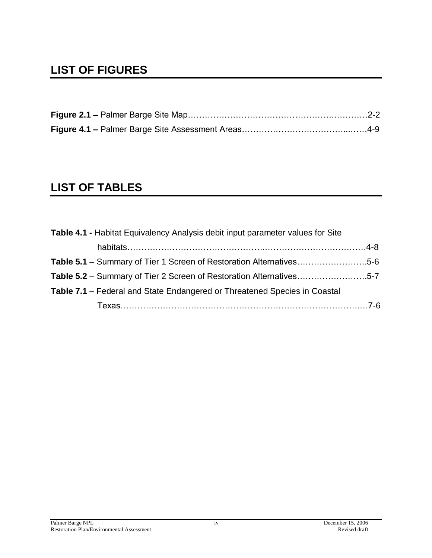## **LIST OF FIGURES**

## **LIST OF TABLES**

| Table 4.1 - Habitat Equivalency Analysis debit input parameter values for Site   |  |
|----------------------------------------------------------------------------------|--|
|                                                                                  |  |
| Table 5.1 – Summary of Tier 1 Screen of Restoration Alternatives5-6              |  |
| Table 5.2 – Summary of Tier 2 Screen of Restoration Alternatives5-7              |  |
| <b>Table 7.1</b> – Federal and State Endangered or Threatened Species in Coastal |  |
|                                                                                  |  |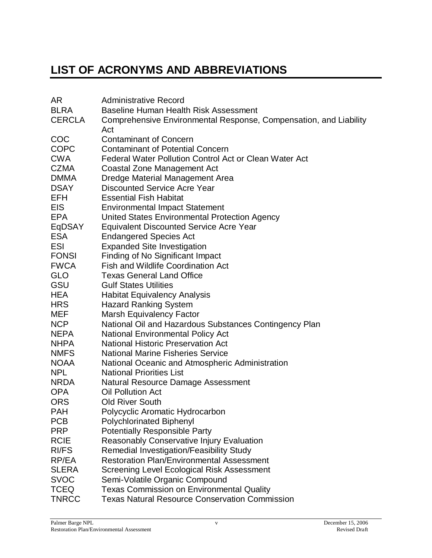# **LIST OF ACRONYMS AND ABBREVIATIONS**

| AR            | <b>Administrative Record</b>                                      |
|---------------|-------------------------------------------------------------------|
| <b>BLRA</b>   | <b>Baseline Human Health Risk Assessment</b>                      |
| <b>CERCLA</b> | Comprehensive Environmental Response, Compensation, and Liability |
|               | Act                                                               |
| COC           | <b>Contaminant of Concern</b>                                     |
| <b>COPC</b>   | <b>Contaminant of Potential Concern</b>                           |
| <b>CWA</b>    | Federal Water Pollution Control Act or Clean Water Act            |
| <b>CZMA</b>   | Coastal Zone Management Act                                       |
| <b>DMMA</b>   | Dredge Material Management Area                                   |
| <b>DSAY</b>   | <b>Discounted Service Acre Year</b>                               |
| <b>EFH</b>    | <b>Essential Fish Habitat</b>                                     |
| EIS.          | <b>Environmental Impact Statement</b>                             |
| <b>EPA</b>    | United States Environmental Protection Agency                     |
| EqDSAY        | <b>Equivalent Discounted Service Acre Year</b>                    |
| <b>ESA</b>    | <b>Endangered Species Act</b>                                     |
| ESI           | <b>Expanded Site Investigation</b>                                |
| <b>FONSI</b>  | Finding of No Significant Impact                                  |
| <b>FWCA</b>   | <b>Fish and Wildlife Coordination Act</b>                         |
| <b>GLO</b>    | <b>Texas General Land Office</b>                                  |
| GSU           | <b>Gulf States Utilities</b>                                      |
| HEA           | <b>Habitat Equivalency Analysis</b>                               |
| <b>HRS</b>    | <b>Hazard Ranking System</b>                                      |
| MEF           | <b>Marsh Equivalency Factor</b>                                   |
| <b>NCP</b>    | National Oil and Hazardous Substances Contingency Plan            |
| <b>NEPA</b>   | <b>National Environmental Policy Act</b>                          |
| <b>NHPA</b>   | <b>National Historic Preservation Act</b>                         |
| <b>NMFS</b>   | <b>National Marine Fisheries Service</b>                          |
| <b>NOAA</b>   | National Oceanic and Atmospheric Administration                   |
| <b>NPL</b>    | <b>National Priorities List</b>                                   |
| <b>NRDA</b>   | Natural Resource Damage Assessment                                |
| <b>OPA</b>    | <b>Oil Pollution Act</b>                                          |
| <b>ORS</b>    | <b>Old River South</b>                                            |
| <b>PAH</b>    | Polycyclic Aromatic Hydrocarbon                                   |
| <b>PCB</b>    | <b>Polychlorinated Biphenyl</b>                                   |
| <b>PRP</b>    | <b>Potentially Responsible Party</b>                              |
| <b>RCIE</b>   | Reasonably Conservative Injury Evaluation                         |
| <b>RI/FS</b>  | <b>Remedial Investigation/Feasibility Study</b>                   |
| RP/EA         | <b>Restoration Plan/Environmental Assessment</b>                  |
| <b>SLERA</b>  | Screening Level Ecological Risk Assessment                        |
| <b>SVOC</b>   | Semi-Volatile Organic Compound                                    |
| <b>TCEQ</b>   | Texas Commission on Environmental Quality                         |
| <b>TNRCC</b>  | <b>Texas Natural Resource Conservation Commission</b>             |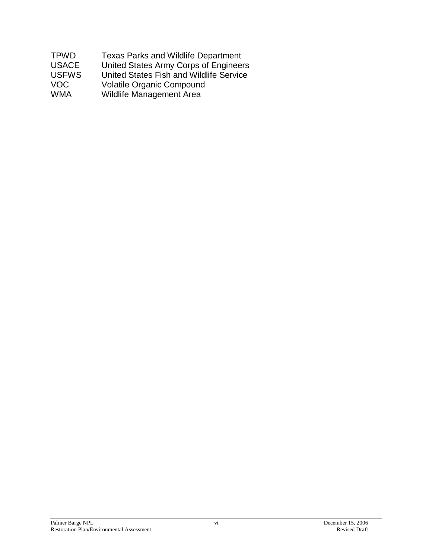| <b>TPWD</b>  | <b>Texas Parks and Wildlife Department</b> |
|--------------|--------------------------------------------|
| <b>USACE</b> | United States Army Corps of Engineers      |
| <b>USFWS</b> | United States Fish and Wildlife Service    |
| <b>VOC</b>   | <b>Volatile Organic Compound</b>           |
| <b>WMA</b>   | Wildlife Management Area                   |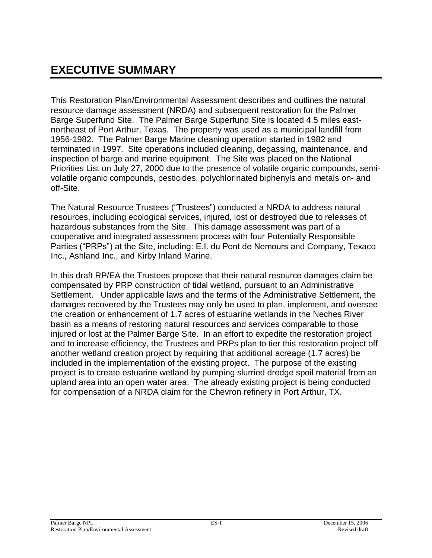This Restoration Plan/Environmental Assessment describes and outlines the natural resource damage assessment (NRDA) and subsequent restoration for the Palmer Barge Superfund Site. The Palmer Barge Superfund Site is located 4.5 miles eastnortheast of Port Arthur, Texas. The property was used as a municipal landfill from 1956-1982. The Palmer Barge Marine cleaning operation started in 1982 and terminated in 1997. Site operations included cleaning, degassing, maintenance, and inspection of barge and marine equipment. The Site was placed on the National Priorities List on July 27, 2000 due to the presence of volatile organic compounds, semivolatile organic compounds, pesticides, polychlorinated biphenyls and metals on- and off-Site.

The Natural Resource Trustees ("Trustees") conducted a NRDA to address natural resources, including ecological services, injured, lost or destroyed due to releases of hazardous substances from the Site. This damage assessment was part of a cooperative and integrated assessment process with four Potentially Responsible Parties ("PRPs") at the Site, including: E.I. du Pont de Nemours and Company, Texaco Inc., Ashland Inc., and Kirby Inland Marine.

In this draft RP/EA the Trustees propose that their natural resource damages claim be compensated by PRP construction of tidal wetland, pursuant to an Administrative Settlement. Under applicable laws and the terms of the Administrative Settlement, the damages recovered by the Trustees may only be used to plan, implement, and oversee the creation or enhancement of 1.7 acres of estuarine wetlands in the Neches River basin as a means of restoring natural resources and services comparable to those injured or lost at the Palmer Barge Site. In an effort to expedite the restoration project and to increase efficiency, the Trustees and PRPs plan to tier this restoration project off another wetland creation project by requiring that additional acreage (1.7 acres) be included in the implementation of the existing project. The purpose of the existing project is to create estuarine wetland by pumping slurried dredge spoil material from an upland area into an open water area. The already existing project is being conducted for compensation of a NRDA claim for the Chevron refinery in Port Arthur, TX.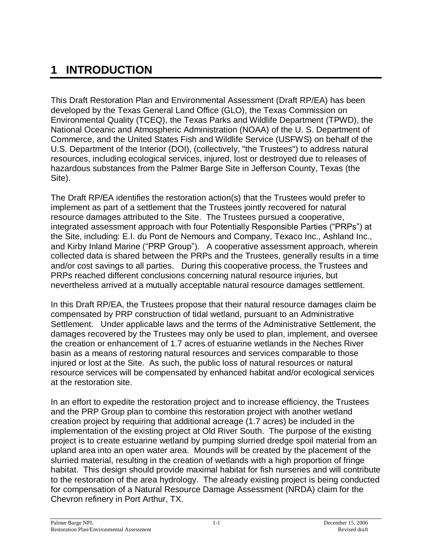# **1 INTRODUCTION**

This Draft Restoration Plan and Environmental Assessment (Draft RP/EA) has been developed by the Texas General Land Office (GLO), the Texas Commission on Environmental Quality (TCEQ), the Texas Parks and Wildlife Department (TPWD), the National Oceanic and Atmospheric Administration (NOAA) of the U. S. Department of Commerce, and the United States Fish and Wildlife Service (USFWS) on behalf of the U.S. Department of the Interior (DOI), (collectively, "the Trustees") to address natural resources, including ecological services, injured, lost or destroyed due to releases of hazardous substances from the Palmer Barge Site in Jefferson County, Texas (the Site).

The Draft RP/EA identifies the restoration action(s) that the Trustees would prefer to implement as part of a settlement that the Trustees jointly recovered for natural resource damages attributed to the Site. The Trustees pursued a cooperative, integrated assessment approach with four Potentially Responsible Parties ("PRPs") at the Site, including: E.I. du Pont de Nemours and Company, Texaco Inc., Ashland Inc., and Kirby Inland Marine ("PRP Group"). A cooperative assessment approach, wherein collected data is shared between the PRPs and the Trustees, generally results in a time and/or cost savings to all parties. During this cooperative process, the Trustees and PRPs reached different conclusions concerning natural resource injuries, but nevertheless arrived at a mutually acceptable natural resource damages settlement.

In this Draft RP/EA, the Trustees propose that their natural resource damages claim be compensated by PRP construction of tidal wetland, pursuant to an Administrative Settlement. Under applicable laws and the terms of the Administrative Settlement, the damages recovered by the Trustees may only be used to plan, implement, and oversee the creation or enhancement of 1.7 acres of estuarine wetlands in the Neches River basin as a means of restoring natural resources and services comparable to those injured or lost at the Site. As such, the public loss of natural resources or natural resource services will be compensated by enhanced habitat and/or ecological services at the restoration site.

In an effort to expedite the restoration project and to increase efficiency, the Trustees and the PRP Group plan to combine this restoration project with another wetland creation project by requiring that additional acreage (1.7 acres) be included in the implementation of the existing project at Old River South. The purpose of the existing project is to create estuarine wetland by pumping slurried dredge spoil material from an upland area into an open water area. Mounds will be created by the placement of the slurried material, resulting in the creation of wetlands with a high proportion of fringe habitat. This design should provide maximal habitat for fish nurseries and will contribute to the restoration of the area hydrology. The already existing project is being conducted for compensation of a Natural Resource Damage Assessment (NRDA) claim for the Chevron refinery in Port Arthur, TX.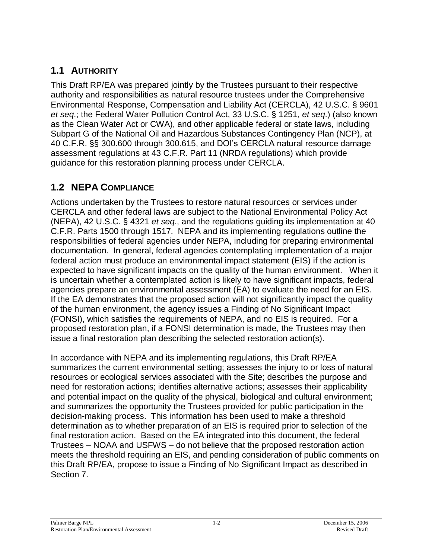### **1.1 AUTHORITY**

This Draft RP/EA was prepared jointly by the Trustees pursuant to their respective authority and responsibilities as natural resource trustees under the Comprehensive Environmental Response, Compensation and Liability Act (CERCLA), 42 U.S.C. § 9601 *et seq*.; the Federal Water Pollution Control Act, 33 U.S.C. § 1251, *et seq*.) (also known as the Clean Water Act or CWA), and other applicable federal or state laws, including Subpart G of the National Oil and Hazardous Substances Contingency Plan (NCP), at 40 C.F.R. §§ 300.600 through 300.615, and DOI's CERCLA natural resource damage assessment regulations at 43 C.F.R. Part 11 (NRDA regulations) which provide guidance for this restoration planning process under CERCLA.

### **1.2 NEPA COMPLIANCE**

Actions undertaken by the Trustees to restore natural resources or services under CERCLA and other federal laws are subject to the National Environmental Policy Act (NEPA), 42 U.S.C. § 4321 *et seq.*, and the regulations guiding its implementation at 40 C.F.R. Parts 1500 through 1517. NEPA and its implementing regulations outline the responsibilities of federal agencies under NEPA, including for preparing environmental documentation. In general, federal agencies contemplating implementation of a major federal action must produce an environmental impact statement (EIS) if the action is expected to have significant impacts on the quality of the human environment. When it is uncertain whether a contemplated action is likely to have significant impacts, federal agencies prepare an environmental assessment (EA) to evaluate the need for an EIS. If the EA demonstrates that the proposed action will not significantly impact the quality of the human environment, the agency issues a Finding of No Significant Impact (FONSI), which satisfies the requirements of NEPA, and no EIS is required. For a proposed restoration plan, if a FONSI determination is made, the Trustees may then issue a final restoration plan describing the selected restoration action(s).

In accordance with NEPA and its implementing regulations, this Draft RP/EA summarizes the current environmental setting; assesses the injury to or loss of natural resources or ecological services associated with the Site; describes the purpose and need for restoration actions; identifies alternative actions; assesses their applicability and potential impact on the quality of the physical, biological and cultural environment; and summarizes the opportunity the Trustees provided for public participation in the decision-making process. This information has been used to make a threshold determination as to whether preparation of an EIS is required prior to selection of the final restoration action. Based on the EA integrated into this document, the federal Trustees – NOAA and USFWS – do not believe that the proposed restoration action meets the threshold requiring an EIS, and pending consideration of public comments on this Draft RP/EA, propose to issue a Finding of No Significant Impact as described in Section 7.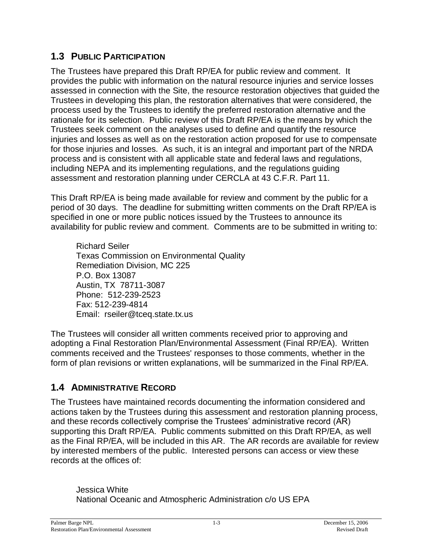### **1.3 PUBLIC PARTICIPATION**

The Trustees have prepared this Draft RP/EA for public review and comment. It provides the public with information on the natural resource injuries and service losses assessed in connection with the Site, the resource restoration objectives that guided the Trustees in developing this plan, the restoration alternatives that were considered, the process used by the Trustees to identify the preferred restoration alternative and the rationale for its selection. Public review of this Draft RP/EA is the means by which the Trustees seek comment on the analyses used to define and quantify the resource injuries and losses as well as on the restoration action proposed for use to compensate for those injuries and losses. As such, it is an integral and important part of the NRDA process and is consistent with all applicable state and federal laws and regulations, including NEPA and its implementing regulations, and the regulations guiding assessment and restoration planning under CERCLA at 43 C.F.R. Part 11.

This Draft RP/EA is being made available for review and comment by the public for a period of 30 days. The deadline for submitting written comments on the Draft RP/EA is specified in one or more public notices issued by the Trustees to announce its availability for public review and comment. Comments are to be submitted in writing to:

Richard Seiler Texas Commission on Environmental Quality Remediation Division, MC 225 P.O. Box 13087 Austin, TX 78711-3087 Phone: 512-239-2523 Fax: 512-239-4814 Email: rseiler@tceq.state.tx.us

The Trustees will consider all written comments received prior to approving and adopting a Final Restoration Plan/Environmental Assessment (Final RP/EA). Written comments received and the Trustees' responses to those comments, whether in the form of plan revisions or written explanations, will be summarized in the Final RP/EA.

### **1.4 ADMINISTRATIVE RECORD**

The Trustees have maintained records documenting the information considered and actions taken by the Trustees during this assessment and restoration planning process, and these records collectively comprise the Trustees' administrative record (AR) supporting this Draft RP/EA. Public comments submitted on this Draft RP/EA, as well as the Final RP/EA, will be included in this AR. The AR records are available for review by interested members of the public. Interested persons can access or view these records at the offices of:

Jessica White National Oceanic and Atmospheric Administration c/o US EPA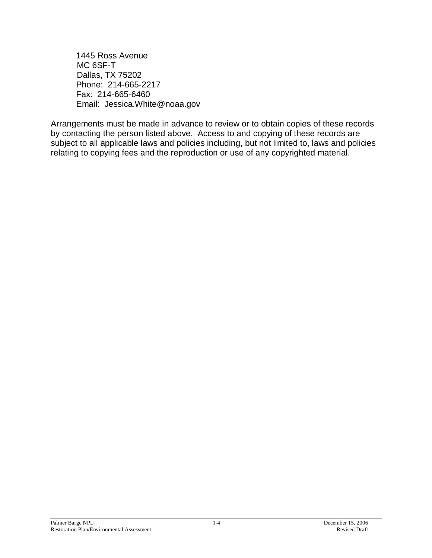1445 Ross Avenue MC 6SF-T Dallas, TX 75202 Phone: 214-665-2217 Fax: 214-665-6460 Email: Jessica.White@noaa.gov

Arrangements must be made in advance to review or to obtain copies of these records by contacting the person listed above. Access to and copying of these records are subject to all applicable laws and policies including, but not limited to, laws and policies relating to copying fees and the reproduction or use of any copyrighted material.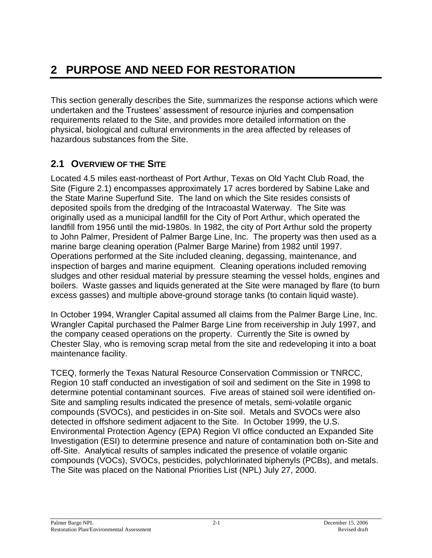# **2 PURPOSE AND NEED FOR RESTORATION**

This section generally describes the Site, summarizes the response actions which were undertaken and the Trustees' assessment of resource injuries and compensation requirements related to the Site, and provides more detailed information on the physical, biological and cultural environments in the area affected by releases of hazardous substances from the Site.

#### **2.1 OVERVIEW OF THE SITE**

Located 4.5 miles east-northeast of Port Arthur, Texas on Old Yacht Club Road, the Site (Figure 2.1) encompasses approximately 17 acres bordered by Sabine Lake and the State Marine Superfund Site. The land on which the Site resides consists of deposited spoils from the dredging of the Intracoastal Waterway. The Site was originally used as a municipal landfill for the City of Port Arthur, which operated the landfill from 1956 until the mid-1980s. In 1982, the city of Port Arthur sold the property to John Palmer, President of Palmer Barge Line, Inc. The property was then used as a marine barge cleaning operation (Palmer Barge Marine) from 1982 until 1997. Operations performed at the Site included cleaning, degassing, maintenance, and inspection of barges and marine equipment. Cleaning operations included removing sludges and other residual material by pressure steaming the vessel holds, engines and boilers. Waste gasses and liquids generated at the Site were managed by flare (to burn excess gasses) and multiple above-ground storage tanks (to contain liquid waste).

In October 1994, Wrangler Capital assumed all claims from the Palmer Barge Line, Inc. Wrangler Capital purchased the Palmer Barge Line from receivership in July 1997, and the company ceased operations on the property. Currently the Site is owned by Chester Slay, who is removing scrap metal from the site and redeveloping it into a boat maintenance facility.

TCEQ, formerly the Texas Natural Resource Conservation Commission or TNRCC, Region 10 staff conducted an investigation of soil and sediment on the Site in 1998 to determine potential contaminant sources. Five areas of stained soil were identified on-Site and sampling results indicated the presence of metals, semi-volatile organic compounds (SVOCs), and pesticides in on-Site soil. Metals and SVOCs were also detected in offshore sediment adjacent to the Site. In October 1999, the U.S. Environmental Protection Agency (EPA) Region VI office conducted an Expanded Site Investigation (ESI) to determine presence and nature of contamination both on-Site and off-Site. Analytical results of samples indicated the presence of volatile organic compounds (VOCs), SVOCs, pesticides, polychlorinated biphenyls (PCBs), and metals. The Site was placed on the National Priorities List (NPL) July 27, 2000.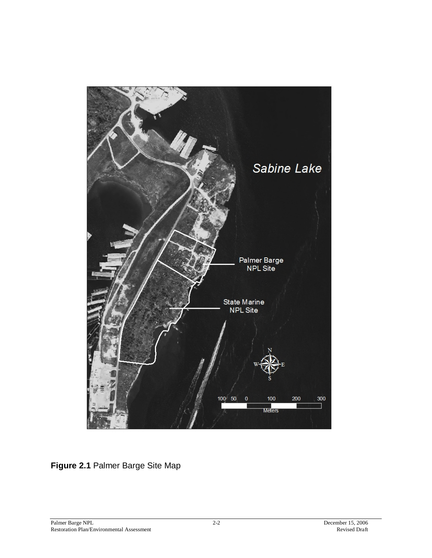

**Figure 2.1** Palmer Barge Site Map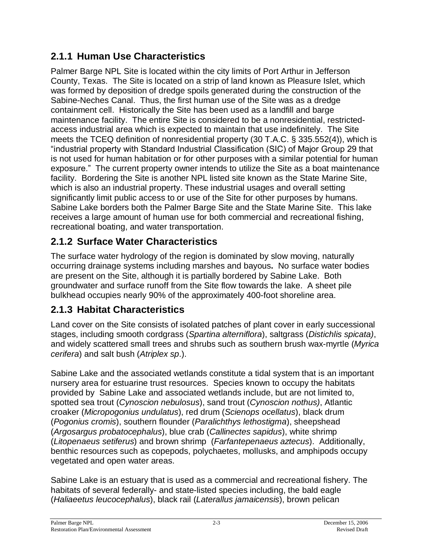### **2.1.1 Human Use Characteristics**

Palmer Barge NPL Site is located within the city limits of Port Arthur in Jefferson County, Texas. The Site is located on a strip of land known as Pleasure Islet, which was formed by deposition of dredge spoils generated during the construction of the Sabine-Neches Canal. Thus, the first human use of the Site was as a dredge containment cell. Historically the Site has been used as a landfill and barge maintenance facility. The entire Site is considered to be a nonresidential, restrictedaccess industrial area which is expected to maintain that use indefinitely. The Site meets the TCEQ definition of nonresidential property (30 T.A.C. § 335.552(4)), which is "industrial property with Standard Industrial Classification (SIC) of Major Group 29 that is not used for human habitation or for other purposes with a similar potential for human exposure."The current property owner intends to utilize the Site as a boat maintenance facility. Bordering the Site is another NPL listed site known as the State Marine Site, which is also an industrial property. These industrial usages and overall setting significantly limit public access to or use of the Site for other purposes by humans. Sabine Lake borders both the Palmer Barge Site and the State Marine Site. This lake receives a large amount of human use for both commercial and recreational fishing, recreational boating, and water transportation.

## **2.1.2 Surface Water Characteristics**

The surface water hydrology of the region is dominated by slow moving, naturally occurring drainage systems including marshes and bayous**.** No surface water bodies are present on the Site, although it is partially bordered by Sabine Lake. Both groundwater and surface runoff from the Site flow towards the lake. A sheet pile bulkhead occupies nearly 90% of the approximately 400-foot shoreline area.

### **2.1.3 Habitat Characteristics**

Land cover on the Site consists of isolated patches of plant cover in early successional stages, including smooth cordgrass (*Spartina alterniflora*), saltgrass (*Distichlis spicata)*, and widely scattered small trees and shrubs such as southern brush wax-myrtle (*Myrica cerifera*) and salt bush (*Atriplex sp*.).

Sabine Lake and the associated wetlands constitute a tidal system that is an important nursery area for estuarine trust resources. Species known to occupy the habitats provided by Sabine Lake and associated wetlands include, but are not limited to, spotted sea trout (*Cynoscion nebulosus*), sand trout (*Cynoscion nothus)*, Atlantic croaker (*Micropogonius undulatus*), red drum (*Scienops ocellatus*), black drum (*Pogonius cromis*), southern flounder (*Paralichthys lethostigma*), sheepshead (*Argosargus probatocephalus*), blue crab (*Callinectes sapidus*), white shrimp (*Litopenaeus setiferus*) and brown shrimp (*Farfantepenaeus aztecus*). Additionally, benthic resources such as copepods, polychaetes, mollusks, and amphipods occupy vegetated and open water areas.

Sabine Lake is an estuary that is used as a commercial and recreational fishery. The habitats of several federally- and state-listed species including, the bald eagle (*Haliaeetus leucocephalus*), black rail (*Laterallus jamaicensis*), brown pelican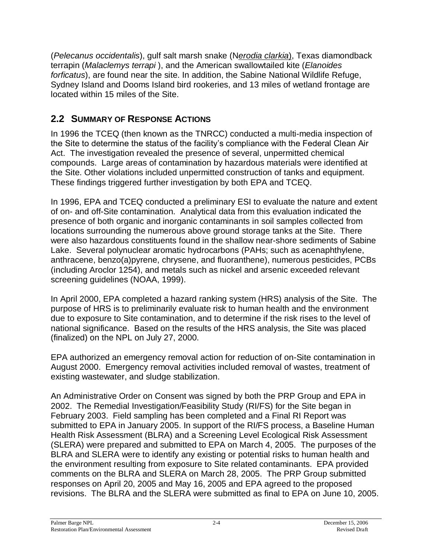(*Pelecanus occidentalis*), gulf salt marsh snake (N*erodia clarkia*), Texas diamondback terrapin (*Malaclemys terrapi* ), and the American swallowtailed kite (*Elanoides forficatus*), are found near the site. In addition, the Sabine National Wildlife Refuge, Sydney Island and Dooms Island bird rookeries, and 13 miles of wetland frontage are located within 15 miles of the Site.

### **2.2 SUMMARY OF RESPONSE ACTIONS**

In 1996 the TCEQ (then known as the TNRCC) conducted a multi-media inspection of the Site to determine the status of the facility's compliance with the Federal Clean Air Act. The investigation revealed the presence of several, unpermitted chemical compounds. Large areas of contamination by hazardous materials were identified at the Site. Other violations included unpermitted construction of tanks and equipment. These findings triggered further investigation by both EPA and TCEQ.

In 1996, EPA and TCEQ conducted a preliminary ESI to evaluate the nature and extent of on- and off-Site contamination. Analytical data from this evaluation indicated the presence of both organic and inorganic contaminants in soil samples collected from locations surrounding the numerous above ground storage tanks at the Site. There were also hazardous constituents found in the shallow near-shore sediments of Sabine Lake. Several polynuclear aromatic hydrocarbons (PAHs; such as acenaphthylene, anthracene, benzo(a)pyrene, chrysene, and fluoranthene), numerous pesticides, PCBs (including Aroclor 1254), and metals such as nickel and arsenic exceeded relevant screening guidelines (NOAA, 1999).

In April 2000, EPA completed a hazard ranking system (HRS) analysis of the Site. The purpose of HRS is to preliminarily evaluate risk to human health and the environment due to exposure to Site contamination, and to determine if the risk rises to the level of national significance. Based on the results of the HRS analysis, the Site was placed (finalized) on the NPL on July 27, 2000.

EPA authorized an emergency removal action for reduction of on-Site contamination in August 2000. Emergency removal activities included removal of wastes, treatment of existing wastewater, and sludge stabilization.

An Administrative Order on Consent was signed by both the PRP Group and EPA in 2002. The Remedial Investigation/Feasibility Study (RI/FS) for the Site began in February 2003. Field sampling has been completed and a Final RI Report was submitted to EPA in January 2005. In support of the RI/FS process, a Baseline Human Health Risk Assessment (BLRA) and a Screening Level Ecological Risk Assessment (SLERA) were prepared and submitted to EPA on March 4, 2005. The purposes of the BLRA and SLERA were to identify any existing or potential risks to human health and the environment resulting from exposure to Site related contaminants. EPA provided comments on the BLRA and SLERA on March 28, 2005. The PRP Group submitted responses on April 20, 2005 and May 16, 2005 and EPA agreed to the proposed revisions. The BLRA and the SLERA were submitted as final to EPA on June 10, 2005.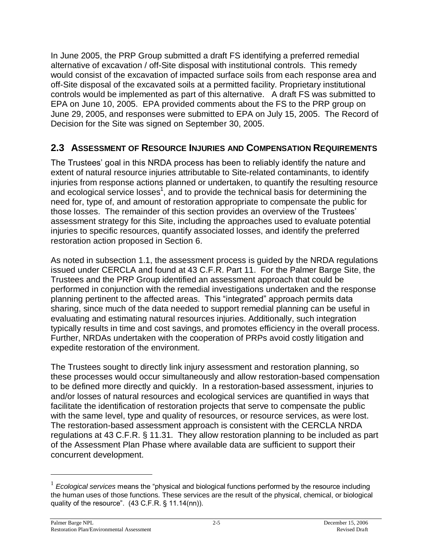In June 2005, the PRP Group submitted a draft FS identifying a preferred remedial alternative of excavation / off-Site disposal with institutional controls. This remedy would consist of the excavation of impacted surface soils from each response area and off-Site disposal of the excavated soils at a permitted facility. Proprietary institutional controls would be implemented as part of this alternative. A draft FS was submitted to EPA on June 10, 2005. EPA provided comments about the FS to the PRP group on June 29, 2005, and responses were submitted to EPA on July 15, 2005. The Record of Decision for the Site was signed on September 30, 2005.

#### **2.3 ASSESSMENT OF RESOURCE INJURIES AND COMPENSATION REQUIREMENTS**

The Trustees' goal in this NRDA process has been to reliably identify the nature and extent of natural resource injuries attributable to Site-related contaminants, to identify injuries from response actions planned or undertaken, to quantify the resulting resource and ecological service losses<sup>1</sup>, and to provide the technical basis for determining the need for, type of, and amount of restoration appropriate to compensate the public for those losses. The remainder of this section provides an overview of the Trustees' assessment strategy for this Site, including the approaches used to evaluate potential injuries to specific resources, quantify associated losses, and identify the preferred restoration action proposed in Section 6.

As noted in subsection 1.1, the assessment process is guided by the NRDA regulations issued under CERCLA and found at 43 C.F.R. Part 11. For the Palmer Barge Site, the Trustees and the PRP Group identified an assessment approach that could be performed in conjunction with the remedial investigations undertaken and the response planning pertinent to the affected areas. This "integrated" approach permits data sharing, since much of the data needed to support remedial planning can be useful in evaluating and estimating natural resources injuries. Additionally, such integration typically results in time and cost savings, and promotes efficiency in the overall process. Further, NRDAs undertaken with the cooperation of PRPs avoid costly litigation and expedite restoration of the environment.

The Trustees sought to directly link injury assessment and restoration planning, so these processes would occur simultaneously and allow restoration-based compensation to be defined more directly and quickly. In a restoration-based assessment, injuries to and/or losses of natural resources and ecological services are quantified in ways that facilitate the identification of restoration projects that serve to compensate the public with the same level, type and quality of resources, or resource services, as were lost. The restoration-based assessment approach is consistent with the CERCLA NRDA regulations at 43 C.F.R. § 11.31. They allow restoration planning to be included as part of the Assessment Plan Phase where available data are sufficient to support their concurrent development.

<sup>&</sup>lt;sup>1</sup> Ecological services means the "physical and biological functions performed by the resource including the human uses of those functions. These services are the result of the physical, chemical, or biological quality of the resource".  $(43 C.F.R. § 11.14(nn))$ .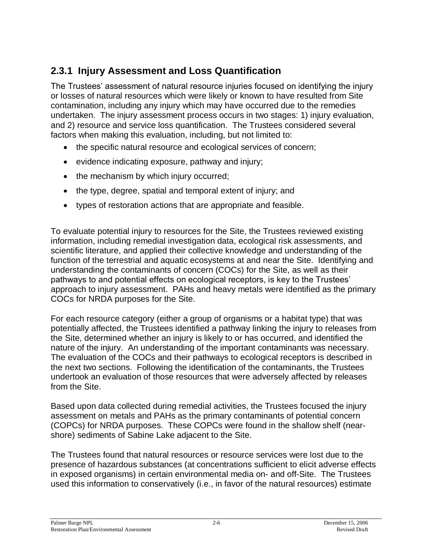### **2.3.1 Injury Assessment and Loss Quantification**

The Trustees' assessment of natural resource injuries focused on identifying the injury or losses of natural resources which were likely or known to have resulted from Site contamination, including any injury which may have occurred due to the remedies undertaken. The injury assessment process occurs in two stages: 1) injury evaluation, and 2) resource and service loss quantification. The Trustees considered several factors when making this evaluation, including, but not limited to:

- the specific natural resource and ecological services of concern;
- evidence indicating exposure, pathway and injury;
- the mechanism by which injury occurred;
- the type, degree, spatial and temporal extent of injury; and
- types of restoration actions that are appropriate and feasible.

To evaluate potential injury to resources for the Site, the Trustees reviewed existing information, including remedial investigation data, ecological risk assessments, and scientific literature, and applied their collective knowledge and understanding of the function of the terrestrial and aquatic ecosystems at and near the Site. Identifying and understanding the contaminants of concern (COCs) for the Site, as well as their pathways to and potential effects on ecological receptors, is key to the Trustees' approach to injury assessment. PAHs and heavy metals were identified as the primary COCs for NRDA purposes for the Site.

For each resource category (either a group of organisms or a habitat type) that was potentially affected, the Trustees identified a pathway linking the injury to releases from the Site, determined whether an injury is likely to or has occurred, and identified the nature of the injury. An understanding of the important contaminants was necessary. The evaluation of the COCs and their pathways to ecological receptors is described in the next two sections. Following the identification of the contaminants, the Trustees undertook an evaluation of those resources that were adversely affected by releases from the Site.

Based upon data collected during remedial activities, the Trustees focused the injury assessment on metals and PAHs as the primary contaminants of potential concern (COPCs) for NRDA purposes. These COPCs were found in the shallow shelf (nearshore) sediments of Sabine Lake adjacent to the Site.

The Trustees found that natural resources or resource services were lost due to the presence of hazardous substances (at concentrations sufficient to elicit adverse effects in exposed organisms) in certain environmental media on- and off-Site. The Trustees used this information to conservatively (i.e., in favor of the natural resources) estimate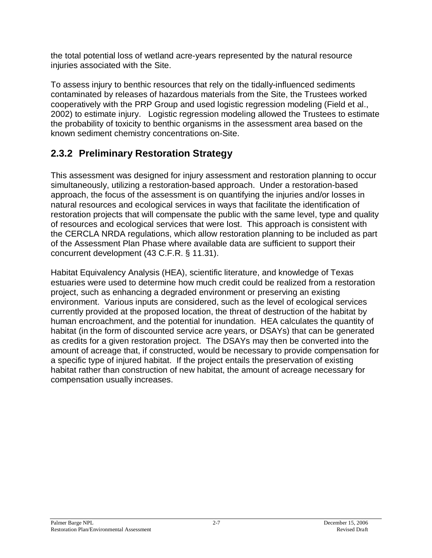the total potential loss of wetland acre-years represented by the natural resource injuries associated with the Site.

To assess injury to benthic resources that rely on the tidally-influenced sediments contaminated by releases of hazardous materials from the Site, the Trustees worked cooperatively with the PRP Group and used logistic regression modeling (Field et al., 2002) to estimate injury. Logistic regression modeling allowed the Trustees to estimate the probability of toxicity to benthic organisms in the assessment area based on the known sediment chemistry concentrations on-Site.

### **2.3.2 Preliminary Restoration Strategy**

This assessment was designed for injury assessment and restoration planning to occur simultaneously, utilizing a restoration-based approach. Under a restoration-based approach, the focus of the assessment is on quantifying the injuries and/or losses in natural resources and ecological services in ways that facilitate the identification of restoration projects that will compensate the public with the same level, type and quality of resources and ecological services that were lost. This approach is consistent with the CERCLA NRDA regulations, which allow restoration planning to be included as part of the Assessment Plan Phase where available data are sufficient to support their concurrent development (43 C.F.R. § 11.31).

Habitat Equivalency Analysis (HEA), scientific literature, and knowledge of Texas estuaries were used to determine how much credit could be realized from a restoration project, such as enhancing a degraded environment or preserving an existing environment. Various inputs are considered, such as the level of ecological services currently provided at the proposed location, the threat of destruction of the habitat by human encroachment, and the potential for inundation. HEA calculates the quantity of habitat (in the form of discounted service acre years, or DSAYs) that can be generated as credits for a given restoration project. The DSAYs may then be converted into the amount of acreage that, if constructed, would be necessary to provide compensation for a specific type of injured habitat. If the project entails the preservation of existing habitat rather than construction of new habitat, the amount of acreage necessary for compensation usually increases.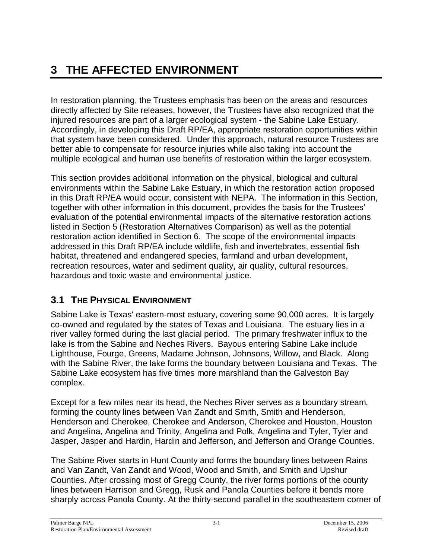# **3 THE AFFECTED ENVIRONMENT**

In restoration planning, the Trustees emphasis has been on the areas and resources directly affected by Site releases, however, the Trustees have also recognized that the injured resources are part of a larger ecological system - the Sabine Lake Estuary. Accordingly, in developing this Draft RP/EA, appropriate restoration opportunities within that system have been considered. Under this approach, natural resource Trustees are better able to compensate for resource injuries while also taking into account the multiple ecological and human use benefits of restoration within the larger ecosystem.

This section provides additional information on the physical, biological and cultural environments within the Sabine Lake Estuary, in which the restoration action proposed in this Draft RP/EA would occur, consistent with NEPA. The information in this Section, together with other information in this document, provides the basis for the Trustees' evaluation of the potential environmental impacts of the alternative restoration actions listed in Section 5 (Restoration Alternatives Comparison) as well as the potential restoration action identified in Section 6. The scope of the environmental impacts addressed in this Draft RP/EA include wildlife, fish and invertebrates, essential fish habitat, threatened and endangered species, farmland and urban development, recreation resources, water and sediment quality, air quality, cultural resources, hazardous and toxic waste and environmental justice.

### **3.1 THE PHYSICAL ENVIRONMENT**

Sabine Lake is Texas' eastern-most estuary, covering some 90,000 acres. It is largely co-owned and regulated by the states of Texas and Louisiana. The estuary lies in a river valley formed during the last glacial period. The primary freshwater influx to the lake is from the Sabine and Neches Rivers. Bayous entering Sabine Lake include Lighthouse, Fourge, Greens, Madame Johnson, Johnsons, Willow, and Black. Along with the Sabine River, the lake forms the boundary between Louisiana and Texas. The Sabine Lake ecosystem has five times more marshland than the Galveston Bay complex.

Except for a few miles near its head, the Neches River serves as a boundary stream, forming the county lines between Van Zandt and Smith, Smith and Henderson, Henderson and Cherokee, Cherokee and Anderson, Cherokee and Houston, Houston and Angelina, Angelina and Trinity, Angelina and Polk, Angelina and Tyler, Tyler and Jasper, Jasper and Hardin, Hardin and Jefferson, and Jefferson and Orange Counties.

The Sabine River starts in Hunt County and forms the boundary lines between Rains and Van Zandt, Van Zandt and Wood, Wood and Smith, and Smith and Upshur Counties. After crossing most of Gregg County, the river forms portions of the county lines between Harrison and Gregg, Rusk and Panola Counties before it bends more sharply across Panola County. At the thirty-second parallel in the southeastern corner of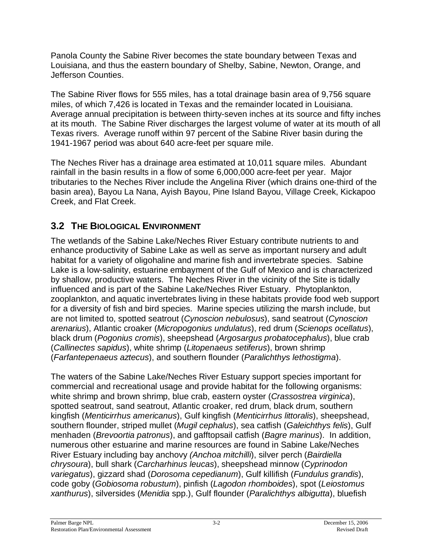Panola County the Sabine River becomes the state boundary between Texas and Louisiana, and thus the eastern boundary of Shelby, Sabine, Newton, Orange, and Jefferson Counties.

The Sabine River flows for 555 miles, has a total drainage basin area of 9,756 square miles, of which 7,426 is located in Texas and the remainder located in Louisiana. Average annual precipitation is between thirty-seven inches at its source and fifty inches at its mouth. The Sabine River discharges the largest volume of water at its mouth of all Texas rivers. Average runoff within 97 percent of the Sabine River basin during the 1941-1967 period was about 640 acre-feet per square mile.

The Neches River has a drainage area estimated at 10,011 square miles. Abundant rainfall in the basin results in a flow of some 6,000,000 acre-feet per year. Major tributaries to the Neches River include the Angelina River (which drains one-third of the basin area), Bayou La Nana, Ayish Bayou, Pine Island Bayou, Village Creek, Kickapoo Creek, and Flat Creek.

### **3.2 THE BIOLOGICAL ENVIRONMENT**

The wetlands of the Sabine Lake/Neches River Estuary contribute nutrients to and enhance productivity of Sabine Lake as well as serve as important nursery and adult habitat for a variety of oligohaline and marine fish and invertebrate species. Sabine Lake is a low-salinity, estuarine embayment of the Gulf of Mexico and is characterized by shallow, productive waters. The Neches River in the vicinity of the Site is tidally influenced and is part of the Sabine Lake/Neches River Estuary. Phytoplankton, zooplankton, and aquatic invertebrates living in these habitats provide food web support for a diversity of fish and bird species. Marine species utilizing the marsh include, but are not limited to, spotted seatrout (*Cynoscion nebulosus*), sand seatrout (*Cynoscion arenarius*), Atlantic croaker (*Micropogonius undulatus*), red drum (*Scienops ocellatus*), black drum (*Pogonius cromis*), sheepshead (*Argosargus probatocephalus*), blue crab (*Callinectes sapidus*), white shrimp (*Litopenaeus setiferus*), brown shrimp (*Farfantepenaeus aztecus*), and southern flounder (*Paralichthys lethostigma*).

The waters of the Sabine Lake/Neches River Estuary support species important for commercial and recreational usage and provide habitat for the following organisms: white shrimp and brown shrimp, blue crab, eastern oyster (*Crassostrea virginica*), spotted seatrout, sand seatrout, Atlantic croaker, red drum, black drum, southern kingfish (*Menticirrhus americanus*), Gulf kingfish (*Menticirrhus littoralis*), sheepshead, southern flounder, striped mullet (*Mugil cephalus*), sea catfish (*Galeichthys felis*), Gulf menhaden (*Brevoortia patronus*), and gafftopsail catfish (*Bagre marinus*). In addition, numerous other estuarine and marine resources are found in Sabine Lake/Neches River Estuary including bay anchovy *(Anchoa mitchilli*), silver perch (*Bairdiella chrysoura*), bull shark (*Carcharhinus leucas*), sheepshead minnow (*Cyprinodon variegatus*), gizzard shad (*Dorosoma cepedianum*), Gulf killifish (*Fundulus grandis*), code goby (*Gobiosoma robustum*), pinfish (*Lagodon rhomboides*), spot (*Leiostomus xanthurus*), silversides (*Menidia* spp.), Gulf flounder (*Paralichthys albigutta*), bluefish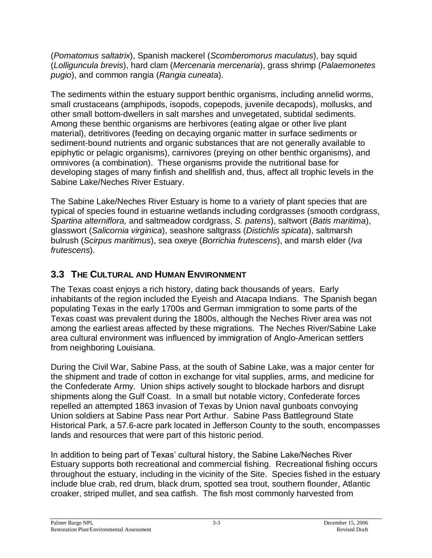(*Pomatomus saltatrix*), Spanish mackerel (*Scomberomorus maculatus*), bay squid (*Lolliguncula brevis*), hard clam (*Mercenaria mercenaria*), grass shrimp (*Palaemonetes pugio*), and common rangia (*Rangia cuneata*).

The sediments within the estuary support benthic organisms, including annelid worms, small crustaceans (amphipods, isopods, copepods, juvenile decapods), mollusks, and other small bottom-dwellers in salt marshes and unvegetated, subtidal sediments. Among these benthic organisms are herbivores (eating algae or other live plant material), detritivores (feeding on decaying organic matter in surface sediments or sediment-bound nutrients and organic substances that are not generally available to epiphytic or pelagic organisms), carnivores (preying on other benthic organisms), and omnivores (a combination). These organisms provide the nutritional base for developing stages of many finfish and shellfish and, thus, affect all trophic levels in the Sabine Lake/Neches River Estuary.

The Sabine Lake/Neches River Estuary is home to a variety of plant species that are typical of species found in estuarine wetlands including cordgrasses (smooth cordgrass, *Spartina alterniflora,* and saltmeadow cordgrass, *S. patens*), saltwort (*Batis maritima*), glasswort (*Salicornia virginica*), seashore saltgrass (*Distichlis spicata*), saltmarsh bulrush (*Scirpus maritimus*), sea oxeye (*Borrichia frutescens*), and marsh elder (*Iva frutescens*).

### **3.3 THE CULTURAL AND HUMAN ENVIRONMENT**

The Texas coast enjoys a rich history, dating back thousands of years. Early inhabitants of the region included the Eyeish and Atacapa Indians. The Spanish began populating Texas in the early 1700s and German immigration to some parts of the Texas coast was prevalent during the 1800s, although the Neches River area was not among the earliest areas affected by these migrations. The Neches River/Sabine Lake area cultural environment was influenced by immigration of Anglo-American settlers from neighboring Louisiana.

During the Civil War, Sabine Pass, at the south of Sabine Lake, was a major center for the shipment and trade of cotton in exchange for vital supplies, arms, and medicine for the Confederate Army. Union ships actively sought to blockade harbors and disrupt shipments along the Gulf Coast. In a small but notable victory, Confederate forces repelled an attempted 1863 invasion of Texas by Union naval gunboats convoying Union soldiers at Sabine Pass near Port Arthur. Sabine Pass Battleground State Historical Park, a 57.6-acre park located in Jefferson County to the south, encompasses lands and resources that were part of this historic period.

In addition to being part of Texas' cultural history, the Sabine Lake/Neches River Estuary supports both recreational and commercial fishing. Recreational fishing occurs throughout the estuary, including in the vicinity of the Site. Species fished in the estuary include blue crab, red drum, black drum, spotted sea trout, southern flounder, Atlantic croaker, striped mullet, and sea catfish. The fish most commonly harvested from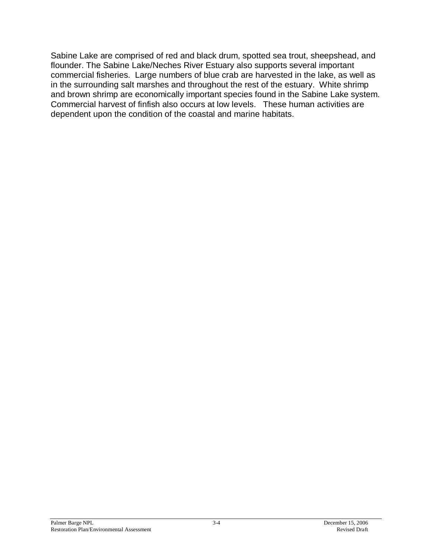Sabine Lake are comprised of red and black drum, spotted sea trout, sheepshead, and flounder. The Sabine Lake/Neches River Estuary also supports several important commercial fisheries. Large numbers of blue crab are harvested in the lake, as well as in the surrounding salt marshes and throughout the rest of the estuary. White shrimp and brown shrimp are economically important species found in the Sabine Lake system. Commercial harvest of finfish also occurs at low levels. These human activities are dependent upon the condition of the coastal and marine habitats.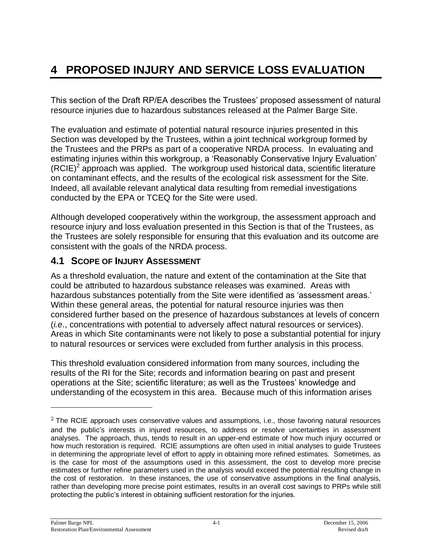# **4 PROPOSED INJURY AND SERVICE LOSS EVALUATION**

This section of the Draft RP/EA describes the Trustees' proposed assessment of natural resource injuries due to hazardous substances released at the Palmer Barge Site.

The evaluation and estimate of potential natural resource injuries presented in this Section was developed by the Trustees, within a joint technical workgroup formed by the Trustees and the PRPs as part of a cooperative NRDA process. In evaluating and estimating injuries within this workgroup, a 'Reasonably Conservative Injury Evaluation'  $(RCIE)^2$  approach was applied. The workgroup used historical data, scientific literature on contaminant effects, and the results of the ecological risk assessment for the Site. Indeed, all available relevant analytical data resulting from remedial investigations conducted by the EPA or TCEQ for the Site were used.

Although developed cooperatively within the workgroup, the assessment approach and resource injury and loss evaluation presented in this Section is that of the Trustees, as the Trustees are solely responsible for ensuring that this evaluation and its outcome are consistent with the goals of the NRDA process.

#### **4.1 SCOPE OF INJURY ASSESSMENT**

As a threshold evaluation, the nature and extent of the contamination at the Site that could be attributed to hazardous substance releases was examined. Areas with hazardous substances potentially from the Site were identified as 'assessment areas.' Within these general areas, the potential for natural resource injuries was then considered further based on the presence of hazardous substances at levels of concern (*i.e*., concentrations with potential to adversely affect natural resources or services). Areas in which Site contaminants were not likely to pose a substantial potential for injury to natural resources or services were excluded from further analysis in this process.

This threshold evaluation considered information from many sources, including the results of the RI for the Site; records and information bearing on past and present operations at the Site; scientific literature; as well as the Trustees' knowledge and understanding of the ecosystem in this area. Because much of this information arises

 $2$  The RCIE approach uses conservative values and assumptions, i.e., those favoring natural resources and the public's interests in injured resources, to address or resolve uncertainties in assessment analyses. The approach, thus, tends to result in an upper-end estimate of how much injury occurred or how much restoration is required. RCIE assumptions are often used in initial analyses to guide Trustees in determining the appropriate level of effort to apply in obtaining more refined estimates. Sometimes, as is the case for most of the assumptions used in this assessment, the cost to develop more precise estimates or further refine parameters used in the analysis would exceed the potential resulting change in the cost of restoration. In these instances, the use of conservative assumptions in the final analysis, rather than developing more precise point estimates, results in an overall cost savings to PRPs while still protecting the public's interest in obtaining sufficient restoration for the injuries.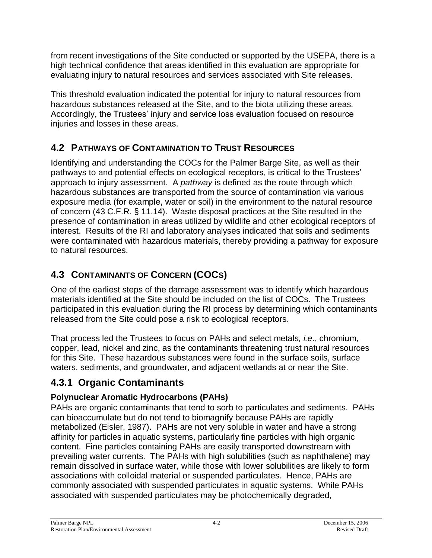from recent investigations of the Site conducted or supported by the USEPA, there is a high technical confidence that areas identified in this evaluation are appropriate for evaluating injury to natural resources and services associated with Site releases.

This threshold evaluation indicated the potential for injury to natural resources from hazardous substances released at the Site, and to the biota utilizing these areas. Accordingly, the Trustees' injury and service loss evaluation focused on resource injuries and losses in these areas.

### **4.2 PATHWAYS OF CONTAMINATION TO TRUST RESOURCES**

Identifying and understanding the COCs for the Palmer Barge Site, as well as their pathways to and potential effects on ecological receptors, is critical to the Trustees' approach to injury assessment. A *pathway* is defined as the route through which hazardous substances are transported from the source of contamination via various exposure media (for example, water or soil) in the environment to the natural resource of concern (43 C.F.R. § 11.14). Waste disposal practices at the Site resulted in the presence of contamination in areas utilized by wildlife and other ecological receptors of interest. Results of the RI and laboratory analyses indicated that soils and sediments were contaminated with hazardous materials, thereby providing a pathway for exposure to natural resources.

## **4.3 CONTAMINANTS OF CONCERN (COCS)**

One of the earliest steps of the damage assessment was to identify which hazardous materials identified at the Site should be included on the list of COCs. The Trustees participated in this evaluation during the RI process by determining which contaminants released from the Site could pose a risk to ecological receptors.

That process led the Trustees to focus on PAHs and select metals*, i.e*., chromium, copper, lead, nickel and zinc, as the contaminants threatening trust natural resources for this Site. These hazardous substances were found in the surface soils, surface waters, sediments, and groundwater, and adjacent wetlands at or near the Site.

## **4.3.1 Organic Contaminants**

### **Polynuclear Aromatic Hydrocarbons (PAHs)**

PAHs are organic contaminants that tend to sorb to particulates and sediments. PAHs can bioaccumulate but do not tend to biomagnify because PAHs are rapidly metabolized (Eisler, 1987). PAHs are not very soluble in water and have a strong affinity for particles in aquatic systems, particularly fine particles with high organic content. Fine particles containing PAHs are easily transported downstream with prevailing water currents. The PAHs with high solubilities (such as naphthalene) may remain dissolved in surface water, while those with lower solubilities are likely to form associations with colloidal material or suspended particulates. Hence, PAHs are commonly associated with suspended particulates in aquatic systems. While PAHs associated with suspended particulates may be photochemically degraded,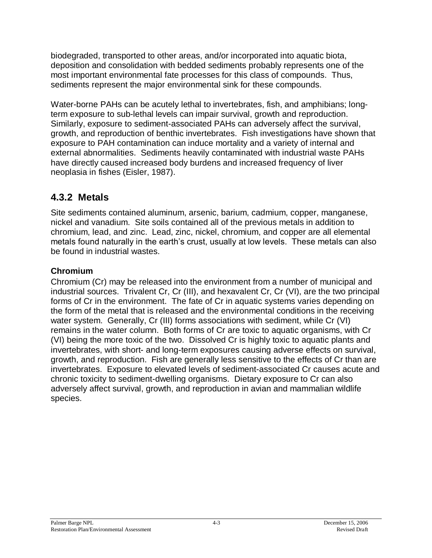biodegraded, transported to other areas, and/or incorporated into aquatic biota, deposition and consolidation with bedded sediments probably represents one of the most important environmental fate processes for this class of compounds. Thus, sediments represent the major environmental sink for these compounds.

Water-borne PAHs can be acutely lethal to invertebrates, fish, and amphibians; longterm exposure to sub-lethal levels can impair survival, growth and reproduction. Similarly, exposure to sediment-associated PAHs can adversely affect the survival, growth, and reproduction of benthic invertebrates. Fish investigations have shown that exposure to PAH contamination can induce mortality and a variety of internal and external abnormalities. Sediments heavily contaminated with industrial waste PAHs have directly caused increased body burdens and increased frequency of liver neoplasia in fishes (Eisler, 1987).

### **4.3.2 Metals**

Site sediments contained aluminum, arsenic, barium, cadmium, copper, manganese, nickel and vanadium. Site soils contained all of the previous metals in addition to chromium, lead, and zinc. Lead, zinc, nickel, chromium, and copper are all elemental metals found naturally in the earth's crust, usually at low levels. These metals can also be found in industrial wastes.

#### **Chromium**

Chromium (Cr) may be released into the environment from a number of municipal and industrial sources. Trivalent Cr, Cr (III), and hexavalent Cr, Cr (VI), are the two principal forms of Cr in the environment. The fate of Cr in aquatic systems varies depending on the form of the metal that is released and the environmental conditions in the receiving water system. Generally, Cr (III) forms associations with sediment, while Cr (VI) remains in the water column. Both forms of Cr are toxic to aquatic organisms, with Cr (VI) being the more toxic of the two. Dissolved Cr is highly toxic to aquatic plants and invertebrates, with short- and long-term exposures causing adverse effects on survival, growth, and reproduction. Fish are generally less sensitive to the effects of Cr than are invertebrates. Exposure to elevated levels of sediment-associated Cr causes acute and chronic toxicity to sediment-dwelling organisms. Dietary exposure to Cr can also adversely affect survival, growth, and reproduction in avian and mammalian wildlife species.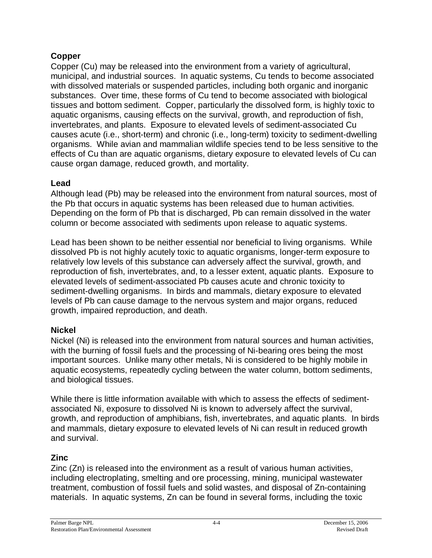#### **Copper**

Copper (Cu) may be released into the environment from a variety of agricultural, municipal, and industrial sources. In aquatic systems, Cu tends to become associated with dissolved materials or suspended particles, including both organic and inorganic substances. Over time, these forms of Cu tend to become associated with biological tissues and bottom sediment. Copper, particularly the dissolved form, is highly toxic to aquatic organisms, causing effects on the survival, growth, and reproduction of fish, invertebrates, and plants. Exposure to elevated levels of sediment-associated Cu causes acute (i.e., short-term) and chronic (i.e., long-term) toxicity to sediment-dwelling organisms. While avian and mammalian wildlife species tend to be less sensitive to the effects of Cu than are aquatic organisms, dietary exposure to elevated levels of Cu can cause organ damage, reduced growth, and mortality.

#### **Lead**

Although lead (Pb) may be released into the environment from natural sources, most of the Pb that occurs in aquatic systems has been released due to human activities. Depending on the form of Pb that is discharged, Pb can remain dissolved in the water column or become associated with sediments upon release to aquatic systems.

Lead has been shown to be neither essential nor beneficial to living organisms. While dissolved Pb is not highly acutely toxic to aquatic organisms, longer-term exposure to relatively low levels of this substance can adversely affect the survival, growth, and reproduction of fish, invertebrates, and, to a lesser extent, aquatic plants. Exposure to elevated levels of sediment-associated Pb causes acute and chronic toxicity to sediment-dwelling organisms. In birds and mammals, dietary exposure to elevated levels of Pb can cause damage to the nervous system and major organs, reduced growth, impaired reproduction, and death.

#### **Nickel**

Nickel (Ni) is released into the environment from natural sources and human activities, with the burning of fossil fuels and the processing of Ni-bearing ores being the most important sources. Unlike many other metals, Ni is considered to be highly mobile in aquatic ecosystems, repeatedly cycling between the water column, bottom sediments, and biological tissues.

While there is little information available with which to assess the effects of sedimentassociated Ni, exposure to dissolved Ni is known to adversely affect the survival, growth, and reproduction of amphibians, fish, invertebrates, and aquatic plants. In birds and mammals, dietary exposure to elevated levels of Ni can result in reduced growth and survival.

#### **Zinc**

Zinc (Zn) is released into the environment as a result of various human activities, including electroplating, smelting and ore processing, mining, municipal wastewater treatment, combustion of fossil fuels and solid wastes, and disposal of Zn-containing materials. In aquatic systems, Zn can be found in several forms, including the toxic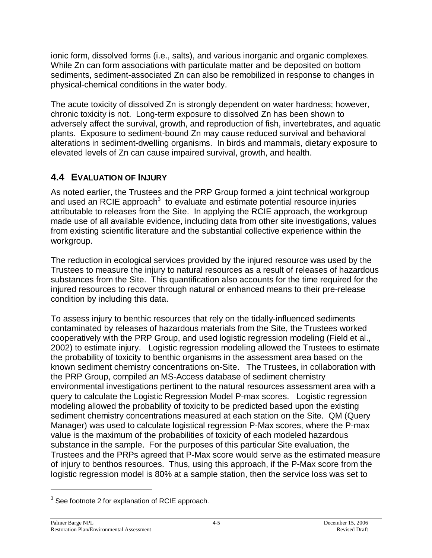ionic form, dissolved forms (i.e., salts), and various inorganic and organic complexes. While Zn can form associations with particulate matter and be deposited on bottom sediments, sediment-associated Zn can also be remobilized in response to changes in physical-chemical conditions in the water body.

The acute toxicity of dissolved Zn is strongly dependent on water hardness; however, chronic toxicity is not. Long-term exposure to dissolved Zn has been shown to adversely affect the survival, growth, and reproduction of fish, invertebrates, and aquatic plants. Exposure to sediment-bound Zn may cause reduced survival and behavioral alterations in sediment-dwelling organisms. In birds and mammals, dietary exposure to elevated levels of Zn can cause impaired survival, growth, and health.

### **4.4 EVALUATION OF INJURY**

As noted earlier, the Trustees and the PRP Group formed a joint technical workgroup and used an RCIE approach $3$  to evaluate and estimate potential resource injuries attributable to releases from the Site. In applying the RCIE approach, the workgroup made use of all available evidence, including data from other site investigations, values from existing scientific literature and the substantial collective experience within the workgroup.

The reduction in ecological services provided by the injured resource was used by the Trustees to measure the injury to natural resources as a result of releases of hazardous substances from the Site. This quantification also accounts for the time required for the injured resources to recover through natural or enhanced means to their pre-release condition by including this data.

To assess injury to benthic resources that rely on the tidally-influenced sediments contaminated by releases of hazardous materials from the Site, the Trustees worked cooperatively with the PRP Group, and used logistic regression modeling (Field et al., 2002) to estimate injury. Logistic regression modeling allowed the Trustees to estimate the probability of toxicity to benthic organisms in the assessment area based on the known sediment chemistry concentrations on-Site. The Trustees, in collaboration with the PRP Group, compiled an MS-Access database of sediment chemistry environmental investigations pertinent to the natural resources assessment area with a query to calculate the Logistic Regression Model P-max scores. Logistic regression modeling allowed the probability of toxicity to be predicted based upon the existing sediment chemistry concentrations measured at each station on the Site. QM (Query Manager) was used to calculate logistical regression P-Max scores, where the P-max value is the maximum of the probabilities of toxicity of each modeled hazardous substance in the sample. For the purposes of this particular Site evaluation, the Trustees and the PRPs agreed that P-Max score would serve as the estimated measure of injury to benthos resources. Thus, using this approach, if the P-Max score from the logistic regression model is 80% at a sample station, then the service loss was set to

 $3$  See footnote 2 for explanation of RCIE approach.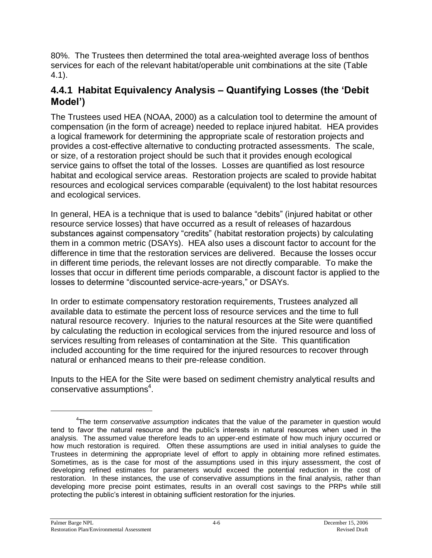80%. The Trustees then determined the total area-weighted average loss of benthos services for each of the relevant habitat/operable unit combinations at the site (Table 4.1).

### **4.4.1 Habitat Equivalency Analysis –QuantifyingLosses(the'Debit Model')**

The Trustees used HEA (NOAA, 2000) as a calculation tool to determine the amount of compensation (in the form of acreage) needed to replace injured habitat. HEA provides a logical framework for determining the appropriate scale of restoration projects and provides a cost-effective alternative to conducting protracted assessments. The scale, or size, of a restoration project should be such that it provides enough ecological service gains to offset the total of the losses. Losses are quantified as lost resource habitat and ecological service areas. Restoration projects are scaled to provide habitat resources and ecological services comparable (equivalent) to the lost habitat resources and ecological services.

In general, HEA is a technique that is used to balance "debits" (injured habitat or other resource service losses) that have occurred as a result of releases of hazardous substances against compensatory "credits" (habitat restoration projects) by calculating them in a common metric (DSAYs). HEA also uses a discount factor to account for the difference in time that the restoration services are delivered. Because the losses occur in different time periods, the relevant losses are not directly comparable. To make the losses that occur in different time periods comparable, a discount factor is applied to the losses to determine "discounted service-acre-years," or DSAYs.

In order to estimate compensatory restoration requirements, Trustees analyzed all available data to estimate the percent loss of resource services and the time to full natural resource recovery. Injuries to the natural resources at the Site were quantified by calculating the reduction in ecological services from the injured resource and loss of services resulting from releases of contamination at the Site. This quantification included accounting for the time required for the injured resources to recover through natural or enhanced means to their pre-release condition.

Inputs to the HEA for the Site were based on sediment chemistry analytical results and  $conservative$  assumptions<sup>4</sup>.

<sup>4</sup> The term *conservative assumption* indicates that the value of the parameter in question would tend to favor the natural resource and the public's interests in natural resources when used in the analysis. The assumed value therefore leads to an upper-end estimate of how much injury occurred or how much restoration is required. Often these assumptions are used in initial analyses to guide the Trustees in determining the appropriate level of effort to apply in obtaining more refined estimates. Sometimes, as is the case for most of the assumptions used in this injury assessment, the cost of developing refined estimates for parameters would exceed the potential reduction in the cost of restoration. In these instances, the use of conservative assumptions in the final analysis, rather than developing more precise point estimates, results in an overall cost savings to the PRPs while still protecting the public's interest in obtaining sufficient restoration for the injuries.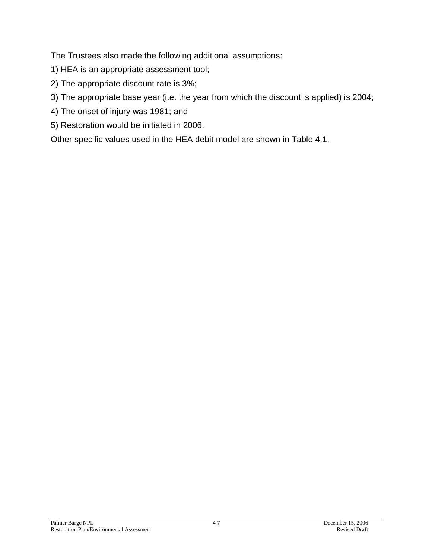The Trustees also made the following additional assumptions:

- 1) HEA is an appropriate assessment tool;
- 2) The appropriate discount rate is 3%;
- 3) The appropriate base year (i.e. the year from which the discount is applied) is 2004;
- 4) The onset of injury was 1981; and
- 5) Restoration would be initiated in 2006.

Other specific values used in the HEA debit model are shown in Table 4.1.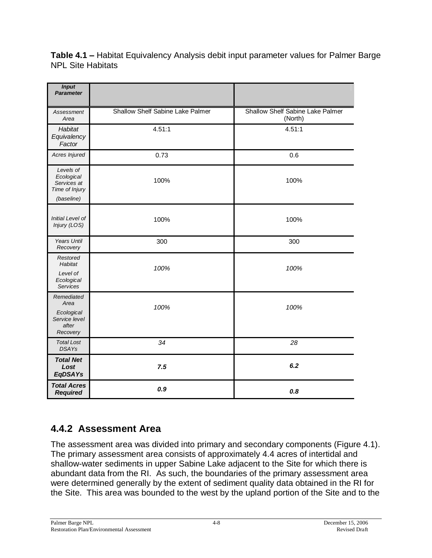**Table 4.1 –**Habitat Equivalency Analysis debit input parameter values for Palmer Barge NPL Site Habitats

| <b>Input</b><br><b>Parameter</b>                                       |                                  |                                             |
|------------------------------------------------------------------------|----------------------------------|---------------------------------------------|
| Assessment<br>Area                                                     | Shallow Shelf Sabine Lake Palmer | Shallow Shelf Sabine Lake Palmer<br>(North) |
| Habitat<br>Equivalency<br>Factor                                       | 4.51:1                           | 4.51:1                                      |
| Acres Injured                                                          | 0.73                             | 0.6                                         |
| Levels of<br>Ecological<br>Services at<br>Time of Injury<br>(baseline) | 100%                             | 100%                                        |
| Initial Level of<br>Injury (LOS)                                       | 100%                             | 100%                                        |
| <b>Years Until</b><br>Recovery                                         | 300                              | 300                                         |
| Restored<br>Habitat<br>Level of<br>Ecological<br>Services              | 100%                             | 100%                                        |
| Remediated<br>Area<br>Ecological<br>Service level<br>after<br>Recovery | 100%                             | 100%                                        |
| <b>Total Lost</b><br><b>DSAYs</b>                                      | 34                               | 28                                          |
| <b>Total Net</b><br>Lost<br>EqDSAYs                                    | 7.5                              | 6.2                                         |
| <b>Total Acres</b><br><b>Required</b>                                  | 0.9                              | 0.8                                         |

### **4.4.2 Assessment Area**

The assessment area was divided into primary and secondary components (Figure 4.1). The primary assessment area consists of approximately 4.4 acres of intertidal and shallow-water sediments in upper Sabine Lake adjacent to the Site for which there is abundant data from the RI. As such, the boundaries of the primary assessment area were determined generally by the extent of sediment quality data obtained in the RI for the Site. This area was bounded to the west by the upland portion of the Site and to the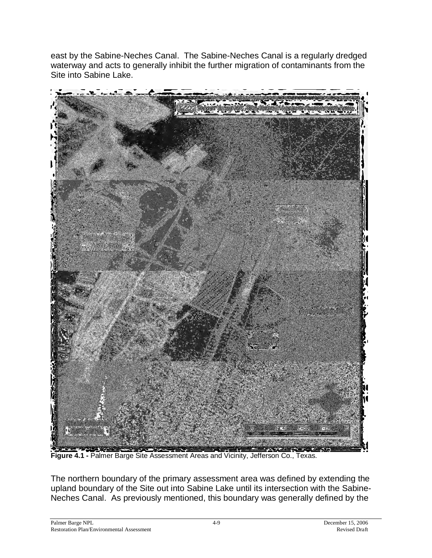east by the Sabine-Neches Canal. The Sabine-Neches Canal is a regularly dredged waterway and acts to generally inhibit the further migration of contaminants from the Site into Sabine Lake.



**Figure 4.1 -** Palmer Barge Site Assessment Areas and Vicinity, Jefferson Co., Texas.

The northern boundary of the primary assessment area was defined by extending the upland boundary of the Site out into Sabine Lake until its intersection with the Sabine-Neches Canal. As previously mentioned, this boundary was generally defined by the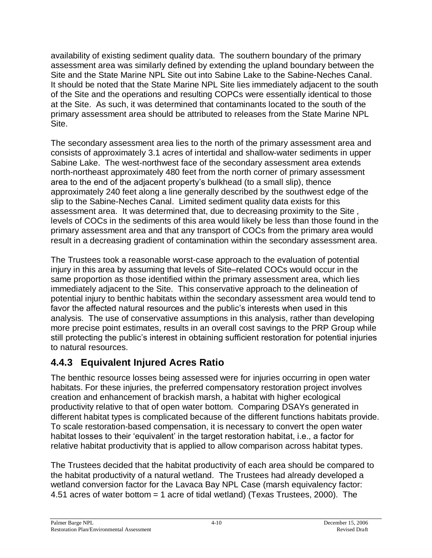availability of existing sediment quality data. The southern boundary of the primary assessment area was similarly defined by extending the upland boundary between the Site and the State Marine NPL Site out into Sabine Lake to the Sabine-Neches Canal. It should be noted that the State Marine NPL Site lies immediately adjacent to the south of the Site and the operations and resulting COPCs were essentially identical to those at the Site. As such, it was determined that contaminants located to the south of the primary assessment area should be attributed to releases from the State Marine NPL Site.

The secondary assessment area lies to the north of the primary assessment area and consists of approximately 3.1 acres of intertidal and shallow-water sediments in upper Sabine Lake. The west-northwest face of the secondary assessment area extends north-northeast approximately 480 feet from the north corner of primary assessment area to the end of the adjacent property's bulkhead (to a small slip), thence approximately 240 feet along a line generally described by the southwest edge of the slip to the Sabine-Neches Canal. Limited sediment quality data exists for this assessment area. It was determined that, due to decreasing proximity to the Site , levels of COCs in the sediments of this area would likely be less than those found in the primary assessment area and that any transport of COCs from the primary area would result in a decreasing gradient of contamination within the secondary assessment area.

The Trustees took a reasonable worst-case approach to the evaluation of potential injury in this area by assuming that levels of Site–related COCs would occur in the same proportion as those identified within the primary assessment area, which lies immediately adjacent to the Site. This conservative approach to the delineation of potential injury to benthic habitats within the secondary assessment area would tend to favor the affected natural resources and the public's interests when used in this analysis. The use of conservative assumptions in this analysis, rather than developing more precise point estimates, results in an overall cost savings to the PRP Group while still protecting the public's interest in obtaining sufficient restoration for potential injuries to natural resources.

### **4.4.3 Equivalent Injured Acres Ratio**

The benthic resource losses being assessed were for injuries occurring in open water habitats. For these injuries, the preferred compensatory restoration project involves creation and enhancement of brackish marsh, a habitat with higher ecological productivity relative to that of open water bottom. Comparing DSAYs generated in different habitat types is complicated because of the different functions habitats provide. To scale restoration-based compensation, it is necessary to convert the open water habitat losses to their 'equivalent' in the target restoration habitat, i.e., a factor for relative habitat productivity that is applied to allow comparison across habitat types.

The Trustees decided that the habitat productivity of each area should be compared to the habitat productivity of a natural wetland. The Trustees had already developed a wetland conversion factor for the Lavaca Bay NPL Case (marsh equivalency factor: 4.51 acres of water bottom = 1 acre of tidal wetland) (Texas Trustees, 2000). The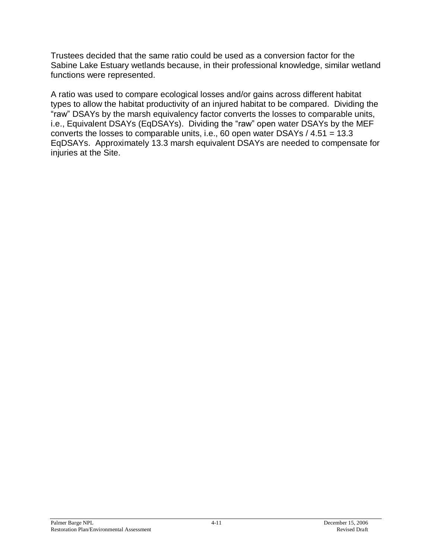Trustees decided that the same ratio could be used as a conversion factor for the Sabine Lake Estuary wetlands because, in their professional knowledge, similar wetland functions were represented.

A ratio was used to compare ecological losses and/or gains across different habitat types to allow the habitat productivity of an injured habitat to be compared. Dividing the "raw"DSAYs by the marsh equivalency factor converts the losses to comparable units, i.e., Equivalent DSAYs (EqDSAYs). Dividing the "raw" open water DSAYs by the MEF converts the losses to comparable units, i.e., 60 open water DSAYs / 4.51 = 13.3 EqDSAYs. Approximately 13.3 marsh equivalent DSAYs are needed to compensate for injuries at the Site.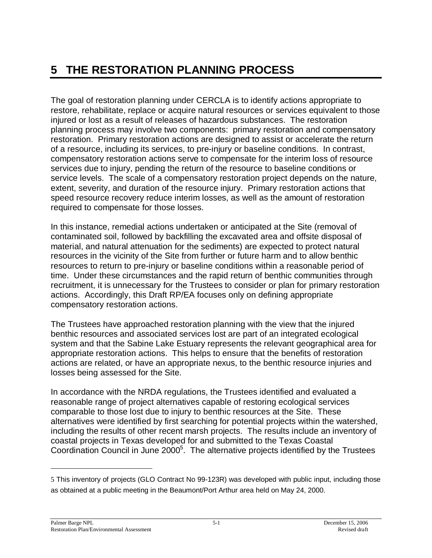# **5 THE RESTORATION PLANNING PROCESS**

The goal of restoration planning under CERCLA is to identify actions appropriate to restore, rehabilitate, replace or acquire natural resources or services equivalent to those injured or lost as a result of releases of hazardous substances. The restoration planning process may involve two components: primary restoration and compensatory restoration. Primary restoration actions are designed to assist or accelerate the return of a resource, including its services, to pre-injury or baseline conditions. In contrast, compensatory restoration actions serve to compensate for the interim loss of resource services due to injury, pending the return of the resource to baseline conditions or service levels. The scale of a compensatory restoration project depends on the nature, extent, severity, and duration of the resource injury. Primary restoration actions that speed resource recovery reduce interim losses, as well as the amount of restoration required to compensate for those losses.

In this instance, remedial actions undertaken or anticipated at the Site (removal of contaminated soil, followed by backfilling the excavated area and offsite disposal of material, and natural attenuation for the sediments) are expected to protect natural resources in the vicinity of the Site from further or future harm and to allow benthic resources to return to pre-injury or baseline conditions within a reasonable period of time. Under these circumstances and the rapid return of benthic communities through recruitment, it is unnecessary for the Trustees to consider or plan for primary restoration actions. Accordingly, this Draft RP/EA focuses only on defining appropriate compensatory restoration actions.

The Trustees have approached restoration planning with the view that the injured benthic resources and associated services lost are part of an integrated ecological system and that the Sabine Lake Estuary represents the relevant geographical area for appropriate restoration actions. This helps to ensure that the benefits of restoration actions are related, or have an appropriate nexus, to the benthic resource injuries and losses being assessed for the Site.

In accordance with the NRDA regulations, the Trustees identified and evaluated a reasonable range of project alternatives capable of restoring ecological services comparable to those lost due to injury to benthic resources at the Site. These alternatives were identified by first searching for potential projects within the watershed, including the results of other recent marsh projects. The results include an inventory of coastal projects in Texas developed for and submitted to the Texas Coastal Coordination Council in June  $2000<sup>5</sup>$ . The alternative projects identified by the Trustees

<sup>5</sup> This inventory of projects (GLO Contract No 99-123R) was developed with public input, including those as obtained at a public meeting in the Beaumont/Port Arthur area held on May 24, 2000.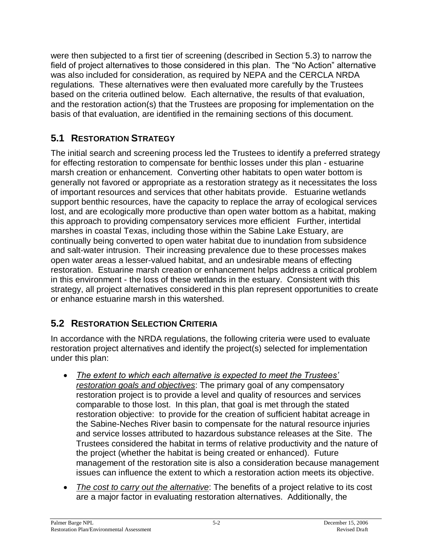were then subjected to a first tier of screening (described in Section 5.3) to narrow the field of project alternatives to those considered in this plan. The "No Action" alternative was also included for consideration, as required by NEPA and the CERCLA NRDA regulations. These alternatives were then evaluated more carefully by the Trustees based on the criteria outlined below. Each alternative, the results of that evaluation, and the restoration action(s) that the Trustees are proposing for implementation on the basis of that evaluation, are identified in the remaining sections of this document.

### **5.1 RESTORATION STRATEGY**

The initial search and screening process led the Trustees to identify a preferred strategy for effecting restoration to compensate for benthic losses under this plan - estuarine marsh creation or enhancement. Converting other habitats to open water bottom is generally not favored or appropriate as a restoration strategy as it necessitates the loss of important resources and services that other habitats provide. Estuarine wetlands support benthic resources, have the capacity to replace the array of ecological services lost, and are ecologically more productive than open water bottom as a habitat, making this approach to providing compensatory services more efficient Further, intertidal marshes in coastal Texas, including those within the Sabine Lake Estuary, are continually being converted to open water habitat due to inundation from subsidence and salt-water intrusion. Their increasing prevalence due to these processes makes open water areas a lesser-valued habitat, and an undesirable means of effecting restoration. Estuarine marsh creation or enhancement helps address a critical problem in this environment - the loss of these wetlands in the estuary. Consistent with this strategy, all project alternatives considered in this plan represent opportunities to create or enhance estuarine marsh in this watershed.

### **5.2 RESTORATION SELECTION CRITERIA**

In accordance with the NRDA regulations, the following criteria were used to evaluate restoration project alternatives and identify the project(s) selected for implementation under this plan:

- The extent to which each alternative is expected to meet the Trustees' *restoration goals and objectives*: The primary goal of any compensatory restoration project is to provide a level and quality of resources and services comparable to those lost. In this plan, that goal is met through the stated restoration objective: to provide for the creation of sufficient habitat acreage in the Sabine-Neches River basin to compensate for the natural resource injuries and service losses attributed to hazardous substance releases at the Site. The Trustees considered the habitat in terms of relative productivity and the nature of the project (whether the habitat is being created or enhanced). Future management of the restoration site is also a consideration because management issues can influence the extent to which a restoration action meets its objective.
- *The cost to carry out the alternative*: The benefits of a project relative to its cost are a major factor in evaluating restoration alternatives. Additionally, the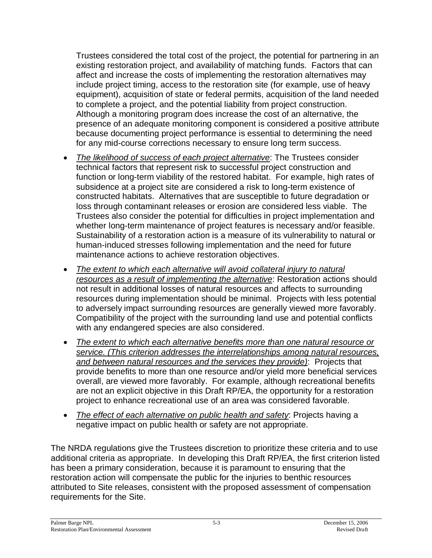Trustees considered the total cost of the project, the potential for partnering in an existing restoration project, and availability of matching funds. Factors that can affect and increase the costs of implementing the restoration alternatives may include project timing, access to the restoration site (for example, use of heavy equipment), acquisition of state or federal permits, acquisition of the land needed to complete a project, and the potential liability from project construction. Although a monitoring program does increase the cost of an alternative, the presence of an adequate monitoring component is considered a positive attribute because documenting project performance is essential to determining the need for any mid-course corrections necessary to ensure long term success.

- *The likelihood of success of each project alternative*: The Trustees consider technical factors that represent risk to successful project construction and function or long-term viability of the restored habitat. For example, high rates of subsidence at a project site are considered a risk to long-term existence of constructed habitats. Alternatives that are susceptible to future degradation or loss through contaminant releases or erosion are considered less viable. The Trustees also consider the potential for difficulties in project implementation and whether long-term maintenance of project features is necessary and/or feasible. Sustainability of a restoration action is a measure of its vulnerability to natural or human-induced stresses following implementation and the need for future maintenance actions to achieve restoration objectives.
- *The extent to which each alternative will avoid collateral injury to natural resources as a result of implementing the alternative*: Restoration actions should not result in additional losses of natural resources and affects to surrounding resources during implementation should be minimal. Projects with less potential to adversely impact surrounding resources are generally viewed more favorably. Compatibility of the project with the surrounding land use and potential conflicts with any endangered species are also considered.
- *The extent to which each alternative benefits more than one natural resource or service. (This criterion addresses the interrelationships among natural resources, and between natural resources and the services they provide)*: Projects that provide benefits to more than one resource and/or yield more beneficial services overall, are viewed more favorably. For example, although recreational benefits are not an explicit objective in this Draft RP/EA, the opportunity for a restoration project to enhance recreational use of an area was considered favorable.
- *The effect of each alternative on public health and safety*: Projects having a negative impact on public health or safety are not appropriate.

The NRDA regulations give the Trustees discretion to prioritize these criteria and to use additional criteria as appropriate. In developing this Draft RP/EA, the first criterion listed has been a primary consideration, because it is paramount to ensuring that the restoration action will compensate the public for the injuries to benthic resources attributed to Site releases, consistent with the proposed assessment of compensation requirements for the Site.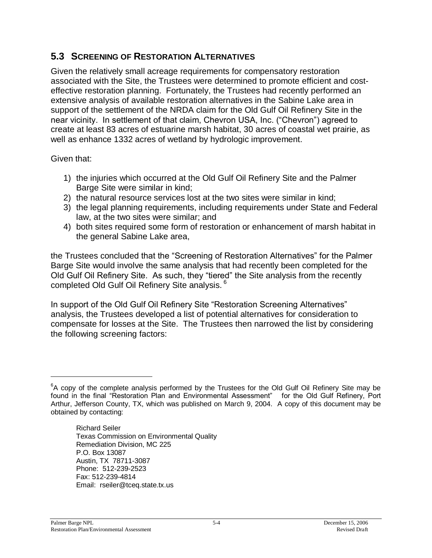#### **5.3 SCREENING OF RESTORATION ALTERNATIVES**

Given the relatively small acreage requirements for compensatory restoration associated with the Site, the Trustees were determined to promote efficient and costeffective restoration planning. Fortunately, the Trustees had recently performed an extensive analysis of available restoration alternatives in the Sabine Lake area in support of the settlement of the NRDA claim for the Old Gulf Oil Refinery Site in the near vicinity. In settlement of that claim, Chevron USA, Inc. ("Chevron") agreed to create at least 83 acres of estuarine marsh habitat, 30 acres of coastal wet prairie, as well as enhance 1332 acres of wetland by hydrologic improvement.

Given that:

- 1) the injuries which occurred at the Old Gulf Oil Refinery Site and the Palmer Barge Site were similar in kind;
- 2) the natural resource services lost at the two sites were similar in kind;
- 3) the legal planning requirements, including requirements under State and Federal law, at the two sites were similar; and
- 4) both sites required some form of restoration or enhancement of marsh habitat in the general Sabine Lake area,

the Trustees concluded that the "Screening of Restoration Alternatives" for the Palmer Barge Site would involve the same analysis that had recently been completed for the Old Gulf Oil Refinery Site. As such, they "tiered" the Site analysis from the recently completed Old Gulf Oil Refinery Site analysis.<sup>6</sup>

In support of the Old Gulf Oil Refinery Site "Restoration Screening Alternatives" analysis, the Trustees developed a list of potential alternatives for consideration to compensate for losses at the Site. The Trustees then narrowed the list by considering the following screening factors:

Richard Seiler Texas Commission on Environmental Quality Remediation Division, MC 225 P.O. Box 13087 Austin, TX 78711-3087 Phone: 512-239-2523 Fax: 512-239-4814 Email: rseiler@tceq.state.tx.us

 ${}^{6}$ A copy of the complete analysis performed by the Trustees for the Old Gulf Oil Refinery Site may be found in the final "Restoration Plan and Environmental Assessment" for the Old Gulf Refinery, Port Arthur, Jefferson County, TX, which was published on March 9, 2004. A copy of this document may be obtained by contacting: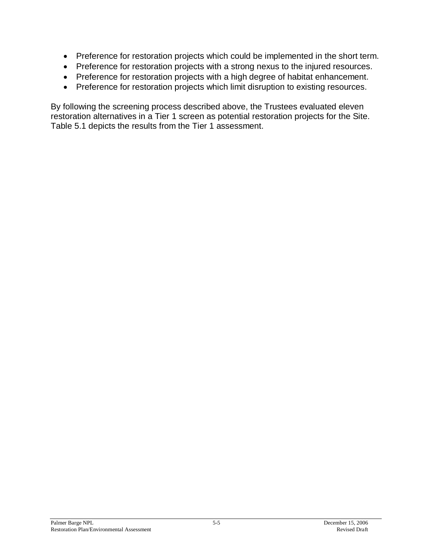- Preference for restoration projects which could be implemented in the short term.
- Preference for restoration projects with a strong nexus to the injured resources.
- Preference for restoration projects with a high degree of habitat enhancement.
- Preference for restoration projects which limit disruption to existing resources.

By following the screening process described above, the Trustees evaluated eleven restoration alternatives in a Tier 1 screen as potential restoration projects for the Site. Table 5.1 depicts the results from the Tier 1 assessment.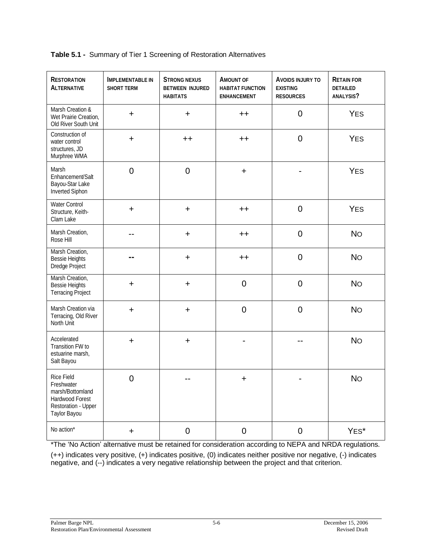|  |  | Table 5.1 - Summary of Tier 1 Screening of Restoration Alternatives |  |
|--|--|---------------------------------------------------------------------|--|
|--|--|---------------------------------------------------------------------|--|

| <b>RESTORATION</b><br><b>ALTERNATIVE</b>                                                                      | <b>IMPLEMENTABLE IN</b><br><b>SHORT TERM</b> | <b>STRONG NEXUS</b><br><b>BETWEEN INJURED</b><br><b>HABITATS</b> | AMOUNT OF<br><b>HABITAT FUNCTION</b><br>ENHANCEMENT | AVOIDS INJURY TO<br><b>EXISTING</b><br><b>RESOURCES</b> | <b>RETAIN FOR</b><br><b>DETAILED</b><br>ANALYSIS? |
|---------------------------------------------------------------------------------------------------------------|----------------------------------------------|------------------------------------------------------------------|-----------------------------------------------------|---------------------------------------------------------|---------------------------------------------------|
| Marsh Creation &<br>Wet Prairie Creation,<br>Old River South Unit                                             | $\ddot{}$                                    | $\ddot{}$                                                        | $++$                                                | $\overline{0}$                                          | <b>YES</b>                                        |
| Construction of<br>water control<br>structures, JD<br>Murphree WMA                                            | $\ddot{}$                                    | $++$                                                             | $++$                                                | $\mathbf 0$                                             | <b>YES</b>                                        |
| Marsh<br>Enhancement/Salt<br>Bayou-Star Lake<br><b>Inverted Siphon</b>                                        | $\overline{0}$                               | $\overline{0}$                                                   | $\ddot{}$                                           |                                                         | <b>YES</b>                                        |
| <b>Water Control</b><br>Structure, Keith-<br>Clam Lake                                                        | $\ddot{}$                                    | $\ddot{}$                                                        | $^{\mathrm{++}}$                                    | $\overline{0}$                                          | <b>YES</b>                                        |
| Marsh Creation,<br>Rose Hill                                                                                  |                                              | $\color{red}{+}$                                                 | $++$                                                | $\mathbf 0$                                             | <b>No</b>                                         |
| Marsh Creation,<br><b>Bessie Heights</b><br>Dredge Project                                                    |                                              | $\ddot{}$                                                        | $++$                                                | $\mathbf 0$                                             | <b>No</b>                                         |
| Marsh Creation,<br><b>Bessie Heights</b><br><b>Terracing Project</b>                                          | $\ddot{}$                                    | $\ddot{}$                                                        | $\mathbf 0$                                         | $\mathbf 0$                                             | <b>No</b>                                         |
| Marsh Creation via<br>Terracing, Old River<br>North Unit                                                      | $\ddot{}$                                    | $\ddot{}$                                                        | $\mathbf 0$                                         | $\overline{0}$                                          | <b>No</b>                                         |
| Accelerated<br>Transition FW to<br>estuarine marsh,<br>Salt Bayou                                             | $\ddot{}$                                    | $\pm$                                                            |                                                     |                                                         | <b>No</b>                                         |
| <b>Rice Field</b><br>Freshwater<br>marsh/Bottomland<br>Hardwood Forest<br>Restoration - Upper<br>Taylor Bayou | $\overline{0}$                               |                                                                  | $\ddot{}$                                           |                                                         | <b>No</b>                                         |
| No action*                                                                                                    | +                                            | $\mathbf 0$                                                      | $\overline{0}$                                      | $\mathbf 0$                                             | YES*                                              |

\*The 'No Action'alternative must be retained for consideration according to NEPA and NRDA regulations.

(++) indicates very positive, (+) indicates positive, (0) indicates neither positive nor negative, (-) indicates negative, and (--) indicates a very negative relationship between the project and that criterion.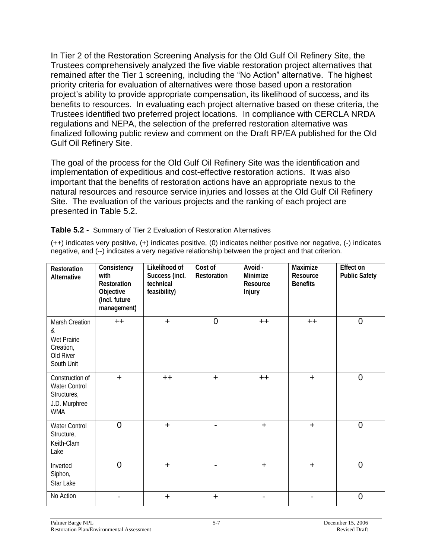In Tier 2 of the Restoration Screening Analysis for the Old Gulf Oil Refinery Site, the Trustees comprehensively analyzed the five viable restoration project alternatives that remained after the Tier 1 screening, including the "No Action" alternative. The highest priority criteria for evaluation of alternatives were those based upon a restoration project's ability to provide appropriate compensation, its likelihood of success, and its benefits to resources. In evaluating each project alternative based on these criteria, the Trustees identified two preferred project locations. In compliance with CERCLA NRDA regulations and NEPA, the selection of the preferred restoration alternative was finalized following public review and comment on the Draft RP/EA published for the Old Gulf Oil Refinery Site.

The goal of the process for the Old Gulf Oil Refinery Site was the identification and implementation of expeditious and cost-effective restoration actions. It was also important that the benefits of restoration actions have an appropriate nexus to the natural resources and resource service injuries and losses at the Old Gulf Oil Refinery Site. The evaluation of the various projects and the ranking of each project are presented in Table 5.2.

#### **Table 5.2 -** Summary of Tier 2 Evaluation of Restoration Alternatives

(++) indicates very positive, (+) indicates positive, (0) indicates neither positive nor negative, (-) indicates negative, and (--) indicates a very negative relationship between the project and that criterion.

| Restoration<br>Alternative                                                            | Consistency<br>with<br>Restoration<br>Objective<br>(incl. future<br>management) | Likelihood of<br>Success (incl.<br>technical<br>feasibility) | Cost of<br>Restoration | Avoid -<br>Minimize<br>Resource<br>Injury | Maximize<br>Resource<br><b>Benefits</b> | Effect on<br><b>Public Safety</b> |
|---------------------------------------------------------------------------------------|---------------------------------------------------------------------------------|--------------------------------------------------------------|------------------------|-------------------------------------------|-----------------------------------------|-----------------------------------|
| Marsh Creation<br>&<br>Wet Prairie<br>Creation,<br>Old River<br>South Unit            | $++$                                                                            | $\ddot{}$                                                    | $\overline{0}$         | $++$                                      | $++$                                    | $\overline{0}$                    |
| Construction of<br><b>Water Control</b><br>Structures,<br>J.D. Murphree<br><b>WMA</b> | $+$                                                                             | $++$                                                         | $\ddot{}$              | $++$                                      | $\ddot{}$                               | $\overline{0}$                    |
| <b>Water Control</b><br>Structure,<br>Keith-Clam<br>Lake                              | $\overline{0}$                                                                  | $\ddot{}$                                                    | $\blacksquare$         | $\ddot{}$                                 | $+$                                     | $\overline{0}$                    |
| Inverted<br>Siphon,<br>Star Lake                                                      | $\overline{0}$                                                                  | $\ddot{}$                                                    | $\blacksquare$         | $\ddot{}$                                 | $\ddot{}$                               | $\overline{0}$                    |
| No Action                                                                             |                                                                                 | $\ddot{}$                                                    | $\ddot{}$              |                                           |                                         | $\overline{0}$                    |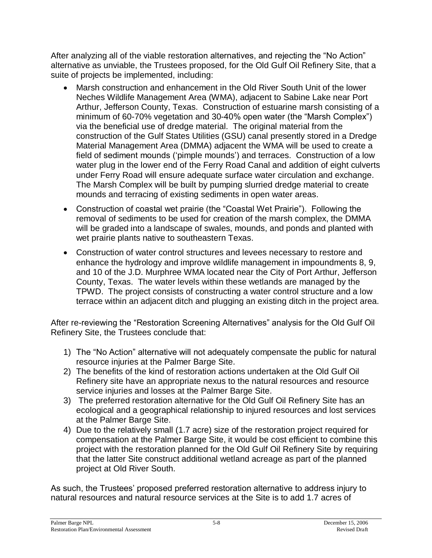After analyzing all of the viable restoration alternatives, and rejecting the "No Action" alternative as unviable, the Trustees proposed, for the Old Gulf Oil Refinery Site, that a suite of projects be implemented, including:

- Marsh construction and enhancement in the Old River South Unit of the lower Neches Wildlife Management Area (WMA), adjacent to Sabine Lake near Port Arthur, Jefferson County, Texas. Construction of estuarine marsh consisting of a minimum of 60-70% vegetation and 30-40% open water (the "Marsh Complex") via the beneficial use of dredge material. The original material from the construction of the Gulf States Utilities (GSU) canal presently stored in a Dredge Material Management Area (DMMA) adjacent the WMA will be used to create a field of sediment mounds ('pimple mounds') and terraces. Construction of a low water plug in the lower end of the Ferry Road Canal and addition of eight culverts under Ferry Road will ensure adequate surface water circulation and exchange. The Marsh Complex will be built by pumping slurried dredge material to create mounds and terracing of existing sediments in open water areas.
- Construction of coastal wet prairie (the "Coastal Wet Prairie"). Following the removal of sediments to be used for creation of the marsh complex, the DMMA will be graded into a landscape of swales, mounds, and ponds and planted with wet prairie plants native to southeastern Texas.
- Construction of water control structures and levees necessary to restore and enhance the hydrology and improve wildlife management in impoundments 8, 9, and 10 of the J.D. Murphree WMA located near the City of Port Arthur, Jefferson County, Texas. The water levels within these wetlands are managed by the TPWD. The project consists of constructing a water control structure and a low terrace within an adjacent ditch and plugging an existing ditch in the project area.

After re-reviewing the "Restoration Screening Alternatives" analysis for the Old Gulf Oil Refinery Site, the Trustees conclude that:

- 1) The "No Action" alternative will not adequately compensate the public for natural resource injuries at the Palmer Barge Site.
- 2) The benefits of the kind of restoration actions undertaken at the Old Gulf Oil Refinery site have an appropriate nexus to the natural resources and resource service injuries and losses at the Palmer Barge Site.
- 3) The preferred restoration alternative for the Old Gulf Oil Refinery Site has an ecological and a geographical relationship to injured resources and lost services at the Palmer Barge Site.
- 4) Due to the relatively small (1.7 acre) size of the restoration project required for compensation at the Palmer Barge Site, it would be cost efficient to combine this project with the restoration planned for the Old Gulf Oil Refinery Site by requiring that the latter Site construct additional wetland acreage as part of the planned project at Old River South.

As such, the Trustees' proposed preferred restoration alternative to address injury to natural resources and natural resource services at the Site is to add 1.7 acres of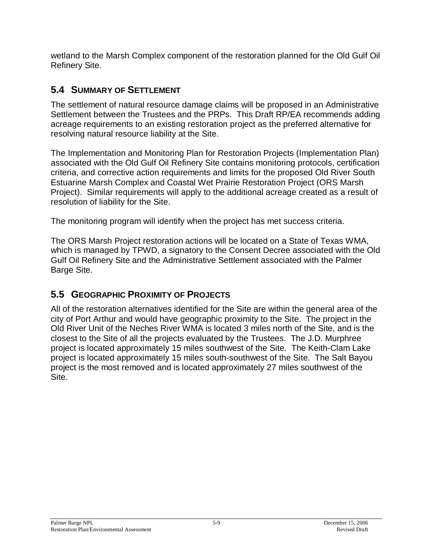wetland to the Marsh Complex component of the restoration planned for the Old Gulf Oil Refinery Site.

### **5.4 SUMMARY OF SETTLEMENT**

The settlement of natural resource damage claims will be proposed in an Administrative Settlement between the Trustees and the PRPs. This Draft RP/EA recommends adding acreage requirements to an existing restoration project as the preferred alternative for resolving natural resource liability at the Site.

The Implementation and Monitoring Plan for Restoration Projects (Implementation Plan) associated with the Old Gulf Oil Refinery Site contains monitoring protocols, certification criteria, and corrective action requirements and limits for the proposed Old River South Estuarine Marsh Complex and Coastal Wet Prairie Restoration Project (ORS Marsh Project). Similar requirements will apply to the additional acreage created as a result of resolution of liability for the Site.

The monitoring program will identify when the project has met success criteria.

The ORS Marsh Project restoration actions will be located on a State of Texas WMA, which is managed by TPWD, a signatory to the Consent Decree associated with the Old Gulf Oil Refinery Site and the Administrative Settlement associated with the Palmer Barge Site.

### **5.5 GEOGRAPHIC PROXIMITY OF PROJECTS**

All of the restoration alternatives identified for the Site are within the general area of the city of Port Arthur and would have geographic proximity to the Site. The project in the Old River Unit of the Neches River WMA is located 3 miles north of the Site, and is the closest to the Site of all the projects evaluated by the Trustees. The J.D. Murphree project is located approximately 15 miles southwest of the Site. The Keith-Clam Lake project is located approximately 15 miles south-southwest of the Site. The Salt Bayou project is the most removed and is located approximately 27 miles southwest of the Site.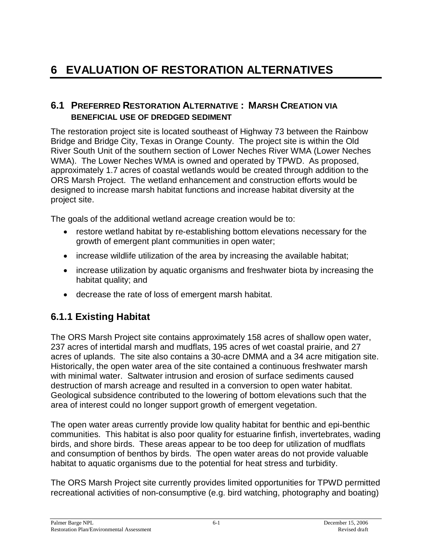# **6 EVALUATION OF RESTORATION ALTERNATIVES**

#### **6.1 PREFERRED RESTORATION ALTERNATIVE : MARSH CREATION VIA BENEFICIAL USE OF DREDGED SEDIMENT**

The restoration project site is located southeast of Highway 73 between the Rainbow Bridge and Bridge City, Texas in Orange County. The project site is within the Old River South Unit of the southern section of Lower Neches River WMA (Lower Neches WMA). The Lower Neches WMA is owned and operated by TPWD. As proposed, approximately 1.7 acres of coastal wetlands would be created through addition to the ORS Marsh Project. The wetland enhancement and construction efforts would be designed to increase marsh habitat functions and increase habitat diversity at the project site.

The goals of the additional wetland acreage creation would be to:

- restore wetland habitat by re-establishing bottom elevations necessary for the growth of emergent plant communities in open water;
- increase wildlife utilization of the area by increasing the available habitat;
- increase utilization by aquatic organisms and freshwater biota by increasing the habitat quality; and
- decrease the rate of loss of emergent marsh habitat.

### **6.1.1 Existing Habitat**

The ORS Marsh Project site contains approximately 158 acres of shallow open water, 237 acres of intertidal marsh and mudflats, 195 acres of wet coastal prairie, and 27 acres of uplands. The site also contains a 30-acre DMMA and a 34 acre mitigation site. Historically, the open water area of the site contained a continuous freshwater marsh with minimal water. Saltwater intrusion and erosion of surface sediments caused destruction of marsh acreage and resulted in a conversion to open water habitat. Geological subsidence contributed to the lowering of bottom elevations such that the area of interest could no longer support growth of emergent vegetation.

The open water areas currently provide low quality habitat for benthic and epi-benthic communities. This habitat is also poor quality for estuarine finfish, invertebrates, wading birds, and shore birds. These areas appear to be too deep for utilization of mudflats and consumption of benthos by birds. The open water areas do not provide valuable habitat to aquatic organisms due to the potential for heat stress and turbidity.

The ORS Marsh Project site currently provides limited opportunities for TPWD permitted recreational activities of non-consumptive (e.g. bird watching, photography and boating)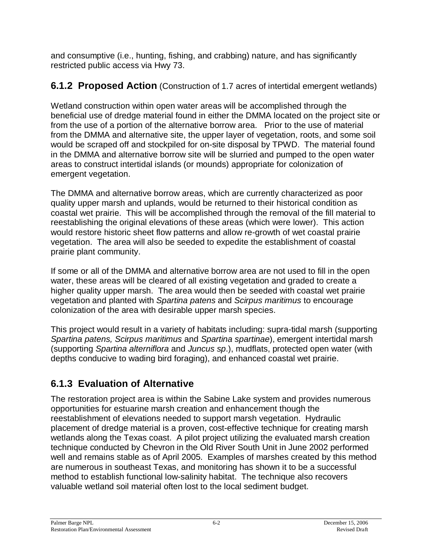and consumptive (i.e., hunting, fishing, and crabbing) nature, and has significantly restricted public access via Hwy 73.

### **6.1.2 Proposed Action** (Construction of 1.7 acres of intertidal emergent wetlands)

Wetland construction within open water areas will be accomplished through the beneficial use of dredge material found in either the DMMA located on the project site or from the use of a portion of the alternative borrow area. Prior to the use of material from the DMMA and alternative site, the upper layer of vegetation, roots, and some soil would be scraped off and stockpiled for on-site disposal by TPWD. The material found in the DMMA and alternative borrow site will be slurried and pumped to the open water areas to construct intertidal islands (or mounds) appropriate for colonization of emergent vegetation.

The DMMA and alternative borrow areas, which are currently characterized as poor quality upper marsh and uplands, would be returned to their historical condition as coastal wet prairie. This will be accomplished through the removal of the fill material to reestablishing the original elevations of these areas (which were lower). This action would restore historic sheet flow patterns and allow re-growth of wet coastal prairie vegetation. The area will also be seeded to expedite the establishment of coastal prairie plant community.

If some or all of the DMMA and alternative borrow area are not used to fill in the open water, these areas will be cleared of all existing vegetation and graded to create a higher quality upper marsh. The area would then be seeded with coastal wet prairie vegetation and planted with *Spartina patens* and *Scirpus maritimus* to encourage colonization of the area with desirable upper marsh species.

This project would result in a variety of habitats including: supra-tidal marsh (supporting *Spartina patens, Scirpus maritimus* and *Spartina spartinae*), emergent intertidal marsh (supporting *Spartina alterniflora* and *Juncus sp*.), mudflats, protected open water (with depths conducive to wading bird foraging), and enhanced coastal wet prairie.

## **6.1.3 Evaluation of Alternative**

The restoration project area is within the Sabine Lake system and provides numerous opportunities for estuarine marsh creation and enhancement though the reestablishment of elevations needed to support marsh vegetation. Hydraulic placement of dredge material is a proven, cost-effective technique for creating marsh wetlands along the Texas coast. A pilot project utilizing the evaluated marsh creation technique conducted by Chevron in the Old River South Unit in June 2002 performed well and remains stable as of April 2005. Examples of marshes created by this method are numerous in southeast Texas, and monitoring has shown it to be a successful method to establish functional low-salinity habitat. The technique also recovers valuable wetland soil material often lost to the local sediment budget.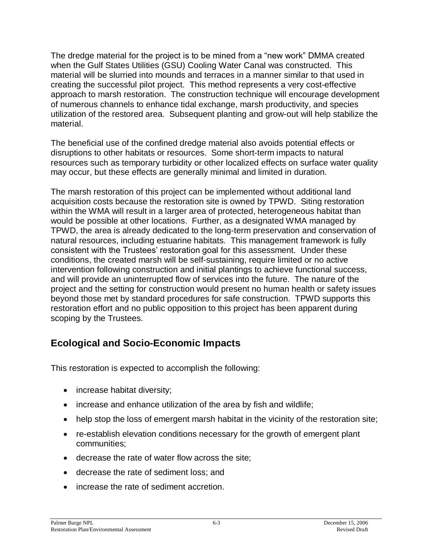The dredge material for the project is to be mined from a "new work" DMMA created when the Gulf States Utilities (GSU) Cooling Water Canal was constructed. This material will be slurried into mounds and terraces in a manner similar to that used in creating the successful pilot project. This method represents a very cost-effective approach to marsh restoration. The construction technique will encourage development of numerous channels to enhance tidal exchange, marsh productivity, and species utilization of the restored area. Subsequent planting and grow-out will help stabilize the material.

The beneficial use of the confined dredge material also avoids potential effects or disruptions to other habitats or resources. Some short-term impacts to natural resources such as temporary turbidity or other localized effects on surface water quality may occur, but these effects are generally minimal and limited in duration.

The marsh restoration of this project can be implemented without additional land acquisition costs because the restoration site is owned by TPWD. Siting restoration within the WMA will result in a larger area of protected, heterogeneous habitat than would be possible at other locations. Further, as a designated WMA managed by TPWD, the area is already dedicated to the long-term preservation and conservation of natural resources, including estuarine habitats. This management framework is fully consistent with the Trustees' restoration goal for this assessment. Under these conditions, the created marsh will be self-sustaining, require limited or no active intervention following construction and initial plantings to achieve functional success, and will provide an uninterrupted flow of services into the future. The nature of the project and the setting for construction would present no human health or safety issues beyond those met by standard procedures for safe construction. TPWD supports this restoration effort and no public opposition to this project has been apparent during scoping by the Trustees.

### **Ecological and Socio-Economic Impacts**

This restoration is expected to accomplish the following:

- increase habitat diversity;
- increase and enhance utilization of the area by fish and wildlife;
- help stop the loss of emergent marsh habitat in the vicinity of the restoration site;
- re-establish elevation conditions necessary for the growth of emergent plant communities;
- decrease the rate of water flow across the site;
- decrease the rate of sediment loss; and
- increase the rate of sediment accretion.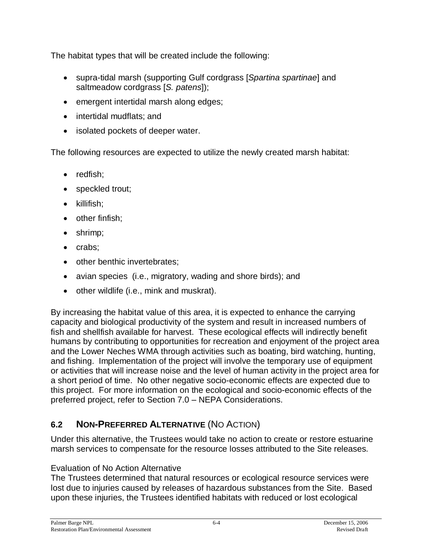The habitat types that will be created include the following:

- supra-tidal marsh (supporting Gulf cordgrass [*Spartina spartinae*] and saltmeadow cordgrass [*S. patens*]);
- emergent intertidal marsh along edges;
- intertidal mudflats; and
- isolated pockets of deeper water.

The following resources are expected to utilize the newly created marsh habitat:

- redfish;
- speckled trout;
- $\bullet$  killifish;
- $\bullet$  other finfish:
- shrimp;
- crabs;
- other benthic invertebrates;
- avian species (i.e., migratory, wading and shore birds); and
- other wildlife (i.e., mink and muskrat).

By increasing the habitat value of this area, it is expected to enhance the carrying capacity and biological productivity of the system and result in increased numbers of fish and shellfish available for harvest. These ecological effects will indirectly benefit humans by contributing to opportunities for recreation and enjoyment of the project area and the Lower Neches WMA through activities such as boating, bird watching, hunting, and fishing. Implementation of the project will involve the temporary use of equipment or activities that will increase noise and the level of human activity in the project area for a short period of time. No other negative socio-economic effects are expected due to this project. For more information on the ecological and socio-economic effects of the preferred project, refer to Section 7.0 – NEPA Considerations.

### **6.2 NON-PREFERRED ALTERNATIVE** (NO ACTION)

Under this alternative, the Trustees would take no action to create or restore estuarine marsh services to compensate for the resource losses attributed to the Site releases.

#### Evaluation of No Action Alternative

The Trustees determined that natural resources or ecological resource services were lost due to injuries caused by releases of hazardous substances from the Site. Based upon these injuries, the Trustees identified habitats with reduced or lost ecological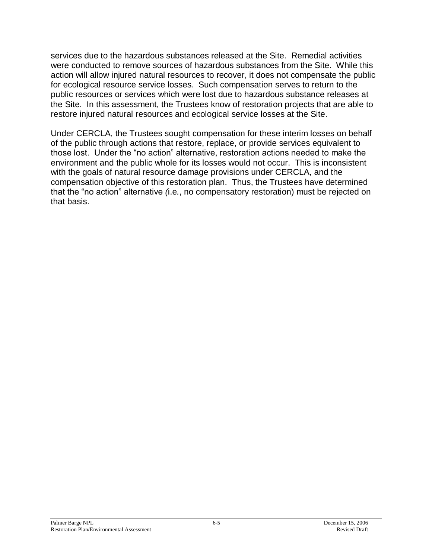services due to the hazardous substances released at the Site. Remedial activities were conducted to remove sources of hazardous substances from the Site. While this action will allow injured natural resources to recover, it does not compensate the public for ecological resource service losses. Such compensation serves to return to the public resources or services which were lost due to hazardous substance releases at the Site. In this assessment, the Trustees know of restoration projects that are able to restore injured natural resources and ecological service losses at the Site.

Under CERCLA, the Trustees sought compensation for these interim losses on behalf of the public through actions that restore, replace, or provide services equivalent to those lost. Under the "no action" alternative, restoration actions needed to make the environment and the public whole for its losses would not occur. This is inconsistent with the goals of natural resource damage provisions under CERCLA, and the compensation objective of this restoration plan. Thus, the Trustees have determined that the "no action" alternative (i.e., no compensatory restoration) must be rejected on that basis.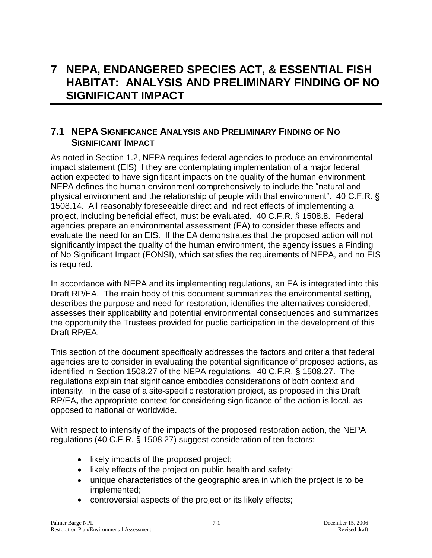## **7 NEPA, ENDANGERED SPECIES ACT, & ESSENTIAL FISH HABITAT: ANALYSIS AND PRELIMINARY FINDING OF NO SIGNIFICANT IMPACT**

#### **7.1 NEPA SIGNIFICANCE ANALYSIS AND PRELIMINARY FINDING OF NO SIGNIFICANT IMPACT**

As noted in Section 1.2, NEPA requires federal agencies to produce an environmental impact statement (EIS) if they are contemplating implementation of a major federal action expected to have significant impacts on the quality of the human environment. NEPA defines the human environment comprehensively to include the "natural and physical environment and the relationship of people with that environment". 40 C.F.R.  $\S$ 1508.14. All reasonably foreseeable direct and indirect effects of implementing a project, including beneficial effect, must be evaluated. 40 C.F.R. § 1508.8. Federal agencies prepare an environmental assessment (EA) to consider these effects and evaluate the need for an EIS. If the EA demonstrates that the proposed action will not significantly impact the quality of the human environment, the agency issues a Finding of No Significant Impact (FONSI), which satisfies the requirements of NEPA, and no EIS is required.

In accordance with NEPA and its implementing regulations, an EA is integrated into this Draft RP/EA. The main body of this document summarizes the environmental setting, describes the purpose and need for restoration, identifies the alternatives considered, assesses their applicability and potential environmental consequences and summarizes the opportunity the Trustees provided for public participation in the development of this Draft RP/EA.

This section of the document specifically addresses the factors and criteria that federal agencies are to consider in evaluating the potential significance of proposed actions, as identified in Section 1508.27 of the NEPA regulations. 40 C.F.R. § 1508.27. The regulations explain that significance embodies considerations of both context and intensity. In the case of a site-specific restoration project, as proposed in this Draft RP/EA**,** the appropriate context for considering significance of the action is local, as opposed to national or worldwide.

With respect to intensity of the impacts of the proposed restoration action, the NEPA regulations (40 C.F.R. § 1508.27) suggest consideration of ten factors:

- likely impacts of the proposed project;
- likely effects of the project on public health and safety;
- unique characteristics of the geographic area in which the project is to be implemented;
- controversial aspects of the project or its likely effects;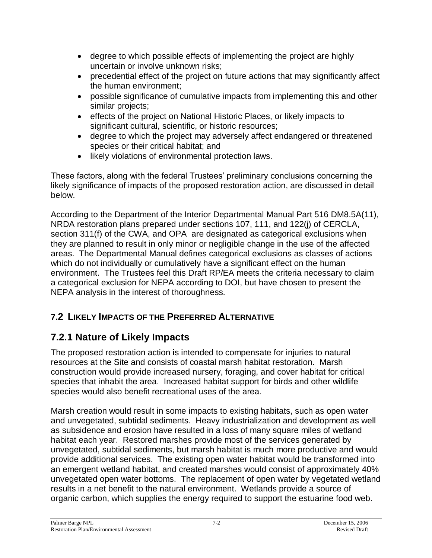- degree to which possible effects of implementing the project are highly uncertain or involve unknown risks;
- precedential effect of the project on future actions that may significantly affect the human environment;
- possible significance of cumulative impacts from implementing this and other similar projects;
- effects of the project on National Historic Places, or likely impacts to significant cultural, scientific, or historic resources;
- degree to which the project may adversely affect endangered or threatened species or their critical habitat; and
- likely violations of environmental protection laws.

These factors, along with the federal Trustees' preliminary conclusions concerning the likely significance of impacts of the proposed restoration action, are discussed in detail below.

According to the Department of the Interior Departmental Manual Part 516 DM8.5A(11), NRDA restoration plans prepared under sections 107, 111, and 122(j) of CERCLA, section 311(f) of the CWA, and OPA are designated as categorical exclusions when they are planned to result in only minor or negligible change in the use of the affected areas. The Departmental Manual defines categorical exclusions as classes of actions which do not individually or cumulatively have a significant effect on the human environment. The Trustees feel this Draft RP/EA meets the criteria necessary to claim a categorical exclusion for NEPA according to DOI, but have chosen to present the NEPA analysis in the interest of thoroughness.

### **7.2 LIKELY IMPACTS OF THE PREFERRED ALTERNATIVE**

### **7.2.1 Nature of Likely Impacts**

The proposed restoration action is intended to compensate for injuries to natural resources at the Site and consists of coastal marsh habitat restoration. Marsh construction would provide increased nursery, foraging, and cover habitat for critical species that inhabit the area. Increased habitat support for birds and other wildlife species would also benefit recreational uses of the area.

Marsh creation would result in some impacts to existing habitats, such as open water and unvegetated, subtidal sediments. Heavy industrialization and development as well as subsidence and erosion have resulted in a loss of many square miles of wetland habitat each year. Restored marshes provide most of the services generated by unvegetated, subtidal sediments, but marsh habitat is much more productive and would provide additional services. The existing open water habitat would be transformed into an emergent wetland habitat, and created marshes would consist of approximately 40% unvegetated open water bottoms. The replacement of open water by vegetated wetland results in a net benefit to the natural environment. Wetlands provide a source of organic carbon, which supplies the energy required to support the estuarine food web.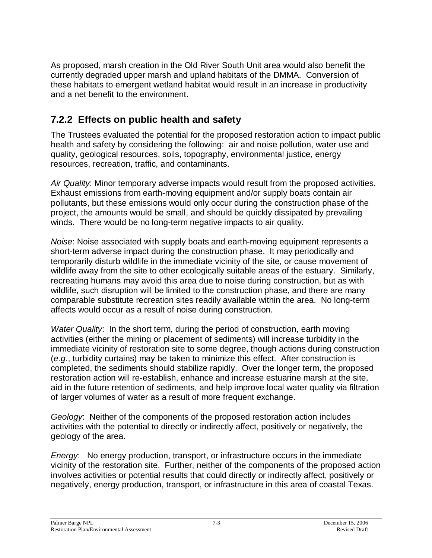As proposed, marsh creation in the Old River South Unit area would also benefit the currently degraded upper marsh and upland habitats of the DMMA. Conversion of these habitats to emergent wetland habitat would result in an increase in productivity and a net benefit to the environment.

### **7.2.2 Effects on public health and safety**

The Trustees evaluated the potential for the proposed restoration action to impact public health and safety by considering the following: air and noise pollution, water use and quality, geological resources, soils, topography, environmental justice, energy resources, recreation, traffic, and contaminants.

*Air Quality*: Minor temporary adverse impacts would result from the proposed activities. Exhaust emissions from earth-moving equipment and/or supply boats contain air pollutants, but these emissions would only occur during the construction phase of the project, the amounts would be small, and should be quickly dissipated by prevailing winds. There would be no long-term negative impacts to air quality.

*Noise*: Noise associated with supply boats and earth-moving equipment represents a short-term adverse impact during the construction phase. It may periodically and temporarily disturb wildlife in the immediate vicinity of the site, or cause movement of wildlife away from the site to other ecologically suitable areas of the estuary. Similarly, recreating humans may avoid this area due to noise during construction, but as with wildlife, such disruption will be limited to the construction phase, and there are many comparable substitute recreation sites readily available within the area. No long-term affects would occur as a result of noise during construction.

*Water Quality*: In the short term, during the period of construction, earth moving activities (either the mining or placement of sediments) will increase turbidity in the immediate vicinity of restoration site to some degree, though actions during construction (*e.g.*, turbidity curtains) may be taken to minimize this effect. After construction is completed, the sediments should stabilize rapidly. Over the longer term, the proposed restoration action will re-establish, enhance and increase estuarine marsh at the site, aid in the future retention of sediments, and help improve local water quality via filtration of larger volumes of water as a result of more frequent exchange.

*Geology*: Neither of the components of the proposed restoration action includes activities with the potential to directly or indirectly affect, positively or negatively, the geology of the area.

*Energy*: No energy production, transport, or infrastructure occurs in the immediate vicinity of the restoration site. Further, neither of the components of the proposed action involves activities or potential results that could directly or indirectly affect, positively or negatively, energy production, transport, or infrastructure in this area of coastal Texas.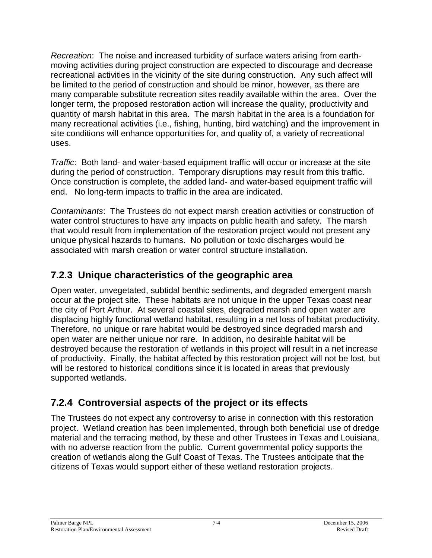*Recreation*: The noise and increased turbidity of surface waters arising from earthmoving activities during project construction are expected to discourage and decrease recreational activities in the vicinity of the site during construction. Any such affect will be limited to the period of construction and should be minor, however, as there are many comparable substitute recreation sites readily available within the area. Over the longer term, the proposed restoration action will increase the quality, productivity and quantity of marsh habitat in this area. The marsh habitat in the area is a foundation for many recreational activities (i.e., fishing, hunting, bird watching) and the improvement in site conditions will enhance opportunities for, and quality of, a variety of recreational uses.

*Traffic*: Both land- and water-based equipment traffic will occur or increase at the site during the period of construction. Temporary disruptions may result from this traffic. Once construction is complete, the added land- and water-based equipment traffic will end. No long-term impacts to traffic in the area are indicated.

*Contaminants*: The Trustees do not expect marsh creation activities or construction of water control structures to have any impacts on public health and safety. The marsh that would result from implementation of the restoration project would not present any unique physical hazards to humans. No pollution or toxic discharges would be associated with marsh creation or water control structure installation.

### **7.2.3 Unique characteristics of the geographic area**

Open water, unvegetated, subtidal benthic sediments, and degraded emergent marsh occur at the project site. These habitats are not unique in the upper Texas coast near the city of Port Arthur. At several coastal sites, degraded marsh and open water are displacing highly functional wetland habitat, resulting in a net loss of habitat productivity. Therefore, no unique or rare habitat would be destroyed since degraded marsh and open water are neither unique nor rare. In addition, no desirable habitat will be destroyed because the restoration of wetlands in this project will result in a net increase of productivity. Finally, the habitat affected by this restoration project will not be lost, but will be restored to historical conditions since it is located in areas that previously supported wetlands.

### **7.2.4 Controversial aspects of the project or its effects**

The Trustees do not expect any controversy to arise in connection with this restoration project. Wetland creation has been implemented, through both beneficial use of dredge material and the terracing method, by these and other Trustees in Texas and Louisiana, with no adverse reaction from the public. Current governmental policy supports the creation of wetlands along the Gulf Coast of Texas. The Trustees anticipate that the citizens of Texas would support either of these wetland restoration projects.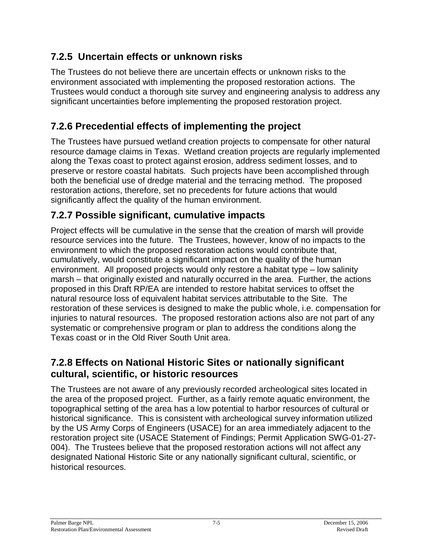### **7.2.5 Uncertain effects or unknown risks**

The Trustees do not believe there are uncertain effects or unknown risks to the environment associated with implementing the proposed restoration actions. The Trustees would conduct a thorough site survey and engineering analysis to address any significant uncertainties before implementing the proposed restoration project.

### **7.2.6 Precedential effects of implementing the project**

The Trustees have pursued wetland creation projects to compensate for other natural resource damage claims in Texas. Wetland creation projects are regularly implemented along the Texas coast to protect against erosion, address sediment losses, and to preserve or restore coastal habitats. Such projects have been accomplished through both the beneficial use of dredge material and the terracing method. The proposed restoration actions, therefore, set no precedents for future actions that would significantly affect the quality of the human environment.

### **7.2.7 Possible significant, cumulative impacts**

Project effects will be cumulative in the sense that the creation of marsh will provide resource services into the future. The Trustees, however, know of no impacts to the environment to which the proposed restoration actions would contribute that, cumulatively, would constitute a significant impact on the quality of the human environment. All proposed projects would only restore a habitat type – low salinity marsh – that originally existed and naturally occurred in the area. Further, the actions proposed in this Draft RP/EA are intended to restore habitat services to offset the natural resource loss of equivalent habitat services attributable to the Site. The restoration of these services is designed to make the public whole, i.e. compensation for injuries to natural resources. The proposed restoration actions also are not part of any systematic or comprehensive program or plan to address the conditions along the Texas coast or in the Old River South Unit area.

### **7.2.8 Effects on National Historic Sites or nationally significant cultural, scientific, or historic resources**

The Trustees are not aware of any previously recorded archeological sites located in the area of the proposed project. Further, as a fairly remote aquatic environment, the topographical setting of the area has a low potential to harbor resources of cultural or historical significance. This is consistent with archeological survey information utilized by the US Army Corps of Engineers (USACE) for an area immediately adjacent to the restoration project site (USACE Statement of Findings; Permit Application SWG-01-27- 004). The Trustees believe that the proposed restoration actions will not affect any designated National Historic Site or any nationally significant cultural, scientific, or historical resources.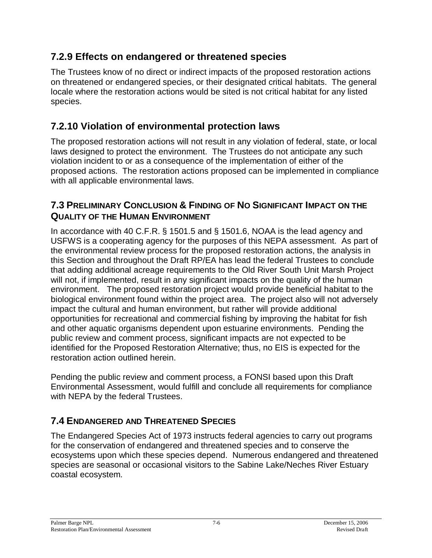### **7.2.9 Effects on endangered or threatened species**

The Trustees know of no direct or indirect impacts of the proposed restoration actions on threatened or endangered species, or their designated critical habitats. The general locale where the restoration actions would be sited is not critical habitat for any listed species.

### **7.2.10 Violation of environmental protection laws**

The proposed restoration actions will not result in any violation of federal, state, or local laws designed to protect the environment. The Trustees do not anticipate any such violation incident to or as a consequence of the implementation of either of the proposed actions. The restoration actions proposed can be implemented in compliance with all applicable environmental laws.

#### **7.3 PRELIMINARY CONCLUSION & FINDING OF NO SIGNIFICANT IMPACT ON THE QUALITY OF THE HUMAN ENVIRONMENT**

In accordance with 40 C.F.R. § 1501.5 and § 1501.6, NOAA is the lead agency and USFWS is a cooperating agency for the purposes of this NEPA assessment. As part of the environmental review process for the proposed restoration actions, the analysis in this Section and throughout the Draft RP/EA has lead the federal Trustees to conclude that adding additional acreage requirements to the Old River South Unit Marsh Project will not, if implemented, result in any significant impacts on the quality of the human environment. The proposed restoration project would provide beneficial habitat to the biological environment found within the project area. The project also will not adversely impact the cultural and human environment, but rather will provide additional opportunities for recreational and commercial fishing by improving the habitat for fish and other aquatic organisms dependent upon estuarine environments. Pending the public review and comment process, significant impacts are not expected to be identified for the Proposed Restoration Alternative; thus, no EIS is expected for the restoration action outlined herein.

Pending the public review and comment process, a FONSI based upon this Draft Environmental Assessment, would fulfill and conclude all requirements for compliance with NEPA by the federal Trustees.

### **7.4 ENDANGERED AND THREATENED SPECIES**

The Endangered Species Act of 1973 instructs federal agencies to carry out programs for the conservation of endangered and threatened species and to conserve the ecosystems upon which these species depend. Numerous endangered and threatened species are seasonal or occasional visitors to the Sabine Lake/Neches River Estuary coastal ecosystem.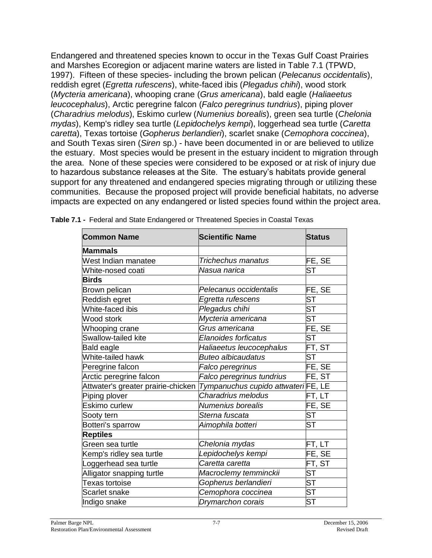Endangered and threatened species known to occur in the Texas Gulf Coast Prairies and Marshes Ecoregion or adjacent marine waters are listed in Table 7.1 (TPWD, 1997). Fifteen of these species- including the brown pelican (*Pelecanus occidentalis*), reddish egret (*Egretta rufescens*), white-faced ibis (*Plegadus chihi*), wood stork (*Mycteria americana*), whooping crane (*Grus americana*), bald eagle (*Haliaeetus leucocephalus*), Arctic peregrine falcon (*Falco peregrinus tundrius*), piping plover (*Charadrius melodus*), Eskimo curlew (*Numenius borealis*), green sea turtle (*Chelonia mydas*), Kemp's ridley sea turtle (*Lepidochelys kempi*), loggerhead sea turtle (*Caretta caretta*), Texas tortoise (*Gopherus berlandieri*), scarlet snake (*Cemophora coccinea*), and South Texas siren (*Siren* sp.) - have been documented in or are believed to utilize the estuary. Most species would be present in the estuary incident to migration through the area. None of these species were considered to be exposed or at risk of injury due to hazardous substance releases at the Site. The estuary's habitats provide general support for any threatened and endangered species migrating through or utilizing these communities. Because the proposed project will provide beneficial habitats, no adverse impacts are expected on any endangered or listed species found within the project area.

| <b>Common Name</b>                 | <b>Scientific Name</b>             | <b>Status</b>          |
|------------------------------------|------------------------------------|------------------------|
| <b>Mammals</b>                     |                                    |                        |
| West Indian manatee                | Trichechus manatus                 | FE, SE                 |
| White-nosed coati                  | Nasua narica                       | <b>ST</b>              |
| <b>Birds</b>                       |                                    |                        |
| Brown pelican                      | Pelecanus occidentalis             | FE, SE                 |
| Reddish egret                      | Egretta rufescens                  | ST                     |
| White-faced ibis                   | Plegadus chihi                     | <b>ST</b>              |
| Wood stork                         | Mycteria americana                 | <b>ST</b>              |
| Whooping crane                     | Grus americana                     | FE, SE                 |
| Swallow-tailed kite                | Elanoides forficatus               | ST                     |
| Bald eagle                         | Haliaeetus leucocephalus           | FT, ST                 |
| White-tailed hawk                  | <b>Buteo albicaudatus</b>          | <b>ST</b>              |
| Peregrine falcon                   | Falco peregrinus                   | FE, SE                 |
| Arctic peregrine falcon            | Falco peregrinus tundrius          | FE, ST                 |
| Attwater's greater prairie-chicken | Tympanuchus cupido attwateriFE, LE |                        |
| Piping plover                      | Charadrius melodus                 | FT, LT                 |
| Eskimo curlew                      | Numenius borealis                  | FE, SE                 |
| Sooty tern                         | Sterna fuscata                     | <b>ST</b>              |
| Botteri's sparrow                  | Aimophila botteri                  | <b>ST</b>              |
| <b>Reptiles</b>                    |                                    |                        |
| Green sea turtle                   | Chelonia mydas                     | FT, LT                 |
| Kemp's ridley sea turtle           | Lepidochelys kempi                 | FE, SE                 |
| Loggerhead sea turtle              | Caretta caretta                    | FT, ST                 |
| Alligator snapping turtle          | Macroclemy temminckii              | $\overline{\text{ST}}$ |
| Texas tortoise                     | Gopherus berlandieri               | <b>ST</b>              |
| Scarlet snake                      | Cemophora coccinea                 | $\overline{\text{ST}}$ |
| Indigo snake                       | Drymarchon corais                  | <b>ST</b>              |

**Table 7.1 -** Federal and State Endangered or Threatened Species in Coastal Texas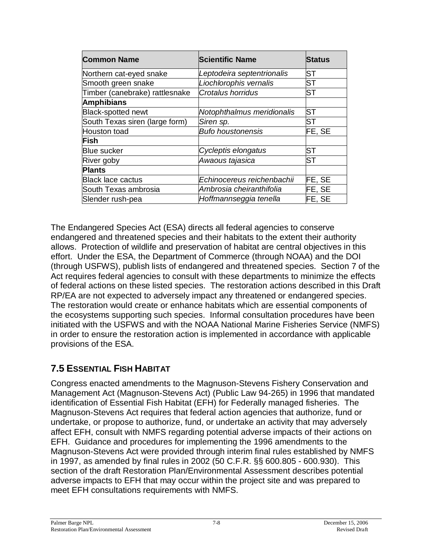| <b>Common Name</b>             | <b>Scientific Name</b>     | <b>Status</b> |
|--------------------------------|----------------------------|---------------|
| Northern cat-eyed snake        | Leptodeira septentrionalis | ST            |
| Smooth green snake             | Liochlorophis vernalis     | ST            |
| Timber (canebrake) rattlesnake | <b>Crotalus horridus</b>   | <b>ST</b>     |
| <b>Amphibians</b>              |                            |               |
| <b>Black-spotted newt</b>      | Notophthalmus meridionalis | ST            |
| South Texas siren (large form) | Siren sp.                  | <b>ST</b>     |
| <b>Houston toad</b>            | <b>Bufo houstonensis</b>   | FE, SE        |
| <b>Fish</b>                    |                            |               |
| <b>Blue sucker</b>             | Cycleptis elongatus        | <b>ST</b>     |
| River goby                     | Awaous tajasica            | ST            |
| <b>Plants</b>                  |                            |               |
| <b>Black lace cactus</b>       | Echinocereus reichenbachii | FE, SE        |
| South Texas ambrosia           | Ambrosia cheiranthifolia   | FE, SE        |
| Slender rush-pea               | Hoffmannseggia tenella     | FE, SE        |

The Endangered Species Act (ESA) directs all federal agencies to conserve endangered and threatened species and their habitats to the extent their authority allows. Protection of wildlife and preservation of habitat are central objectives in this effort. Under the ESA, the Department of Commerce (through NOAA) and the DOI (through USFWS), publish lists of endangered and threatened species. Section 7 of the Act requires federal agencies to consult with these departments to minimize the effects of federal actions on these listed species. The restoration actions described in this Draft RP/EA are not expected to adversely impact any threatened or endangered species. The restoration would create or enhance habitats which are essential components of the ecosystems supporting such species. Informal consultation procedures have been initiated with the USFWS and with the NOAA National Marine Fisheries Service (NMFS) in order to ensure the restoration action is implemented in accordance with applicable provisions of the ESA.

### **7.5 ESSENTIAL FISH HABITAT**

Congress enacted amendments to the Magnuson-Stevens Fishery Conservation and Management Act (Magnuson-Stevens Act) (Public Law 94-265) in 1996 that mandated identification of Essential Fish Habitat (EFH) for Federally managed fisheries. The Magnuson-Stevens Act requires that federal action agencies that authorize, fund or undertake, or propose to authorize, fund, or undertake an activity that may adversely affect EFH, consult with NMFS regarding potential adverse impacts of their actions on EFH. Guidance and procedures for implementing the 1996 amendments to the Magnuson-Stevens Act were provided through interim final rules established by NMFS in 1997, as amended by final rules in 2002 (50 C.F.R. §§ 600.805 - 600.930). This section of the draft Restoration Plan/Environmental Assessment describes potential adverse impacts to EFH that may occur within the project site and was prepared to meet EFH consultations requirements with NMFS.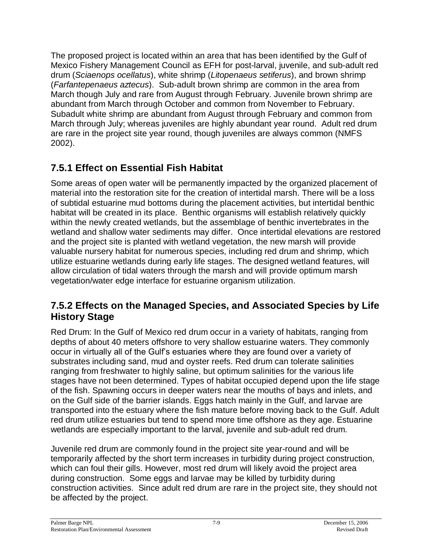The proposed project is located within an area that has been identified by the Gulf of Mexico Fishery Management Council as EFH for post-larval, juvenile, and sub-adult red drum (*Sciaenops ocellatus*), white shrimp (*Litopenaeus setiferus*), and brown shrimp (*Farfantepenaeus aztecus*). Sub-adult brown shrimp are common in the area from March though July and rare from August through February. Juvenile brown shrimp are abundant from March through October and common from November to February. Subadult white shrimp are abundant from August through February and common from March through July; whereas juveniles are highly abundant year round. Adult red drum are rare in the project site year round, though juveniles are always common (NMFS 2002).

### **7.5.1 Effect on Essential Fish Habitat**

Some areas of open water will be permanently impacted by the organized placement of material into the restoration site for the creation of intertidal marsh. There will be a loss of subtidal estuarine mud bottoms during the placement activities, but intertidal benthic habitat will be created in its place. Benthic organisms will establish relatively quickly within the newly created wetlands, but the assemblage of benthic invertebrates in the wetland and shallow water sediments may differ. Once intertidal elevations are restored and the project site is planted with wetland vegetation, the new marsh will provide valuable nursery habitat for numerous species, including red drum and shrimp, which utilize estuarine wetlands during early life stages. The designed wetland features, will allow circulation of tidal waters through the marsh and will provide optimum marsh vegetation/water edge interface for estuarine organism utilization.

### **7.5.2 Effects on the Managed Species, and Associated Species by Life History Stage**

Red Drum: In the Gulf of Mexico red drum occur in a variety of habitats, ranging from depths of about 40 meters offshore to very shallow estuarine waters. They commonly occur in virtually all of the Gulf's estuaries where they are found over a variety of substrates including sand, mud and oyster reefs. Red drum can tolerate salinities ranging from freshwater to highly saline, but optimum salinities for the various life stages have not been determined. Types of habitat occupied depend upon the life stage of the fish. Spawning occurs in deeper waters near the mouths of bays and inlets, and on the Gulf side of the barrier islands. Eggs hatch mainly in the Gulf, and larvae are transported into the estuary where the fish mature before moving back to the Gulf. Adult red drum utilize estuaries but tend to spend more time offshore as they age. Estuarine wetlands are especially important to the larval, juvenile and sub-adult red drum.

Juvenile red drum are commonly found in the project site year-round and will be temporarily affected by the short term increases in turbidity during project construction, which can foul their gills. However, most red drum will likely avoid the project area during construction. Some eggs and larvae may be killed by turbidity during construction activities. Since adult red drum are rare in the project site, they should not be affected by the project.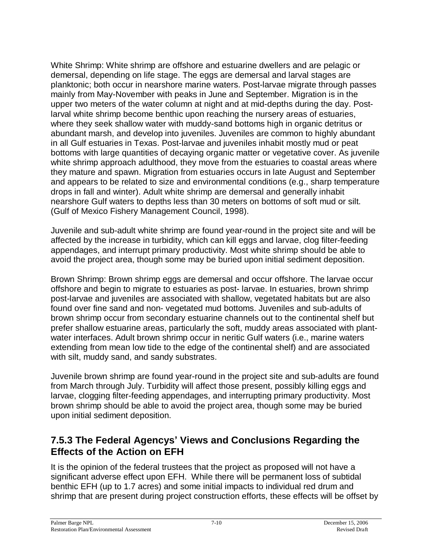White Shrimp: White shrimp are offshore and estuarine dwellers and are pelagic or demersal, depending on life stage. The eggs are demersal and larval stages are planktonic; both occur in nearshore marine waters. Post-larvae migrate through passes mainly from May-November with peaks in June and September. Migration is in the upper two meters of the water column at night and at mid-depths during the day. Postlarval white shrimp become benthic upon reaching the nursery areas of estuaries, where they seek shallow water with muddy-sand bottoms high in organic detritus or abundant marsh, and develop into juveniles. Juveniles are common to highly abundant in all Gulf estuaries in Texas. Post-larvae and juveniles inhabit mostly mud or peat bottoms with large quantities of decaying organic matter or vegetative cover. As juvenile white shrimp approach adulthood, they move from the estuaries to coastal areas where they mature and spawn. Migration from estuaries occurs in late August and September and appears to be related to size and environmental conditions (e.g., sharp temperature drops in fall and winter). Adult white shrimp are demersal and generally inhabit nearshore Gulf waters to depths less than 30 meters on bottoms of soft mud or silt. (Gulf of Mexico Fishery Management Council, 1998).

Juvenile and sub-adult white shrimp are found year-round in the project site and will be affected by the increase in turbidity, which can kill eggs and larvae, clog filter-feeding appendages, and interrupt primary productivity. Most white shrimp should be able to avoid the project area, though some may be buried upon initial sediment deposition.

Brown Shrimp: Brown shrimp eggs are demersal and occur offshore. The larvae occur offshore and begin to migrate to estuaries as post- larvae. In estuaries, brown shrimp post-larvae and juveniles are associated with shallow, vegetated habitats but are also found over fine sand and non- vegetated mud bottoms. Juveniles and sub-adults of brown shrimp occur from secondary estuarine channels out to the continental shelf but prefer shallow estuarine areas, particularly the soft, muddy areas associated with plantwater interfaces. Adult brown shrimp occur in neritic Gulf waters (i.e., marine waters extending from mean low tide to the edge of the continental shelf) and are associated with silt, muddy sand, and sandy substrates.

Juvenile brown shrimp are found year-round in the project site and sub-adults are found from March through July. Turbidity will affect those present, possibly killing eggs and larvae, clogging filter-feeding appendages, and interrupting primary productivity. Most brown shrimp should be able to avoid the project area, though some may be buried upon initial sediment deposition.

#### **7.5.3 The Federal Agencys'Views and Conclusions Regarding the Effects of the Action on EFH**

It is the opinion of the federal trustees that the project as proposed will not have a significant adverse effect upon EFH. While there will be permanent loss of subtidal benthic EFH (up to 1.7 acres) and some initial impacts to individual red drum and shrimp that are present during project construction efforts, these effects will be offset by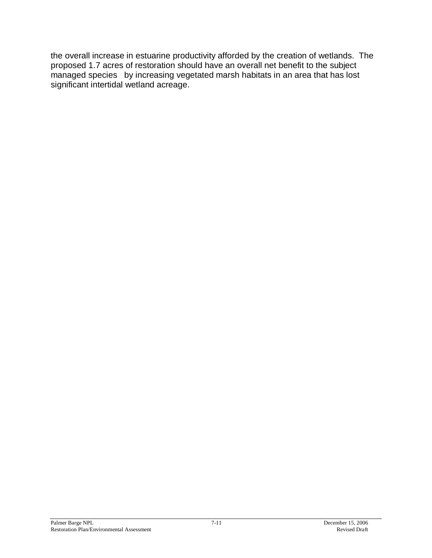the overall increase in estuarine productivity afforded by the creation of wetlands. The proposed 1.7 acres of restoration should have an overall net benefit to the subject managed species by increasing vegetated marsh habitats in an area that has lost significant intertidal wetland acreage.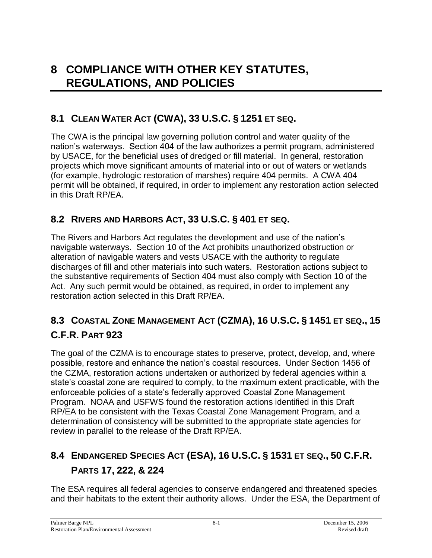## **8 COMPLIANCE WITH OTHER KEY STATUTES, REGULATIONS, AND POLICIES**

### **8.1 CLEAN WATER ACT (CWA), 33 U.S.C. § 1251 ET SEQ.**

The CWA is the principal law governing pollution control and water quality of the nation's waterways. Section 404 of the law authorizes a permit program, administered by USACE, for the beneficial uses of dredged or fill material. In general, restoration projects which move significant amounts of material into or out of waters or wetlands (for example, hydrologic restoration of marshes) require 404 permits. A CWA 404 permit will be obtained, if required, in order to implement any restoration action selected in this Draft RP/EA.

#### **8.2 RIVERS AND HARBORS ACT, 33 U.S.C. § 401 ET SEQ.**

The Rivers and Harbors Act regulates the development and use of the nation's navigable waterways. Section 10 of the Act prohibits unauthorized obstruction or alteration of navigable waters and vests USACE with the authority to regulate discharges of fill and other materials into such waters. Restoration actions subject to the substantive requirements of Section 404 must also comply with Section 10 of the Act. Any such permit would be obtained, as required, in order to implement any restoration action selected in this Draft RP/EA.

### **8.3 COASTAL ZONE MANAGEMENT ACT (CZMA), 16 U.S.C. § 1451 ET SEQ., 15 C.F.R. PART 923**

The goal of the CZMA is to encourage states to preserve, protect, develop, and, where possible, restore and enhance the nation's coastal resources. Under Section 1456 of the CZMA, restoration actions undertaken or authorized by federal agencies within a state's coastal zone are required to comply, to the maximum extent practicable, with the enforceable policies of a state's federally approved Coastal Zone Management Program. NOAA and USFWS found the restoration actions identified in this Draft RP/EA to be consistent with the Texas Coastal Zone Management Program, and a determination of consistency will be submitted to the appropriate state agencies for review in parallel to the release of the Draft RP/EA.

## **8.4 ENDANGERED SPECIES ACT (ESA), 16 U.S.C. § 1531 ET SEQ., 50 C.F.R. PARTS 17, 222, & 224**

The ESA requires all federal agencies to conserve endangered and threatened species and their habitats to the extent their authority allows. Under the ESA, the Department of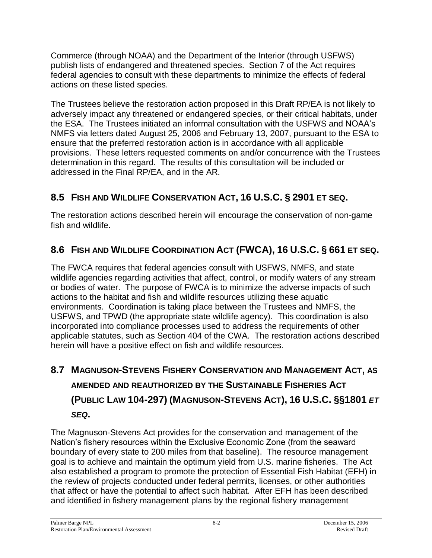Commerce (through NOAA) and the Department of the Interior (through USFWS) publish lists of endangered and threatened species. Section 7 of the Act requires federal agencies to consult with these departments to minimize the effects of federal actions on these listed species.

The Trustees believe the restoration action proposed in this Draft RP/EA is not likely to adversely impact any threatened or endangered species, or their critical habitats, under the ESA. The Trustees initiated an informal consultation with the USFWS and NOAA's NMFS via letters dated August 25, 2006 and February 13, 2007, pursuant to the ESA to ensure that the preferred restoration action is in accordance with all applicable provisions. These letters requested comments on and/or concurrence with the Trustees determination in this regard. The results of this consultation will be included or addressed in the Final RP/EA, and in the AR.

### **8.5 FISH AND WILDLIFE CONSERVATION ACT, 16 U.S.C. § 2901 ET SEQ.**

The restoration actions described herein will encourage the conservation of non-game fish and wildlife.

### **8.6 FISH AND WILDLIFE COORDINATION ACT (FWCA), 16 U.S.C. § 661 ET SEQ.**

The FWCA requires that federal agencies consult with USFWS, NMFS, and state wildlife agencies regarding activities that affect, control, or modify waters of any stream or bodies of water. The purpose of FWCA is to minimize the adverse impacts of such actions to the habitat and fish and wildlife resources utilizing these aquatic environments. Coordination is taking place between the Trustees and NMFS, the USFWS, and TPWD (the appropriate state wildlife agency). This coordination is also incorporated into compliance processes used to address the requirements of other applicable statutes, such as Section 404 of the CWA. The restoration actions described herein will have a positive effect on fish and wildlife resources.

## **8.7 MAGNUSON-STEVENS FISHERY CONSERVATION AND MANAGEMENT ACT, AS AMENDED AND REAUTHORIZED BY THE SUSTAINABLE FISHERIES ACT (PUBLIC LAW 104-297) (MAGNUSON-STEVENS ACT), 16 U.S.C. §§1801** *ET SEQ***.**

The Magnuson-Stevens Act provides for the conservation and management of the Nation's fishery resources within the Exclusive Economic Zone (from the seaward boundary of every state to 200 miles from that baseline). The resource management goal is to achieve and maintain the optimum yield from U.S. marine fisheries. The Act also established a program to promote the protection of Essential Fish Habitat (EFH) in the review of projects conducted under federal permits, licenses, or other authorities that affect or have the potential to affect such habitat. After EFH has been described and identified in fishery management plans by the regional fishery management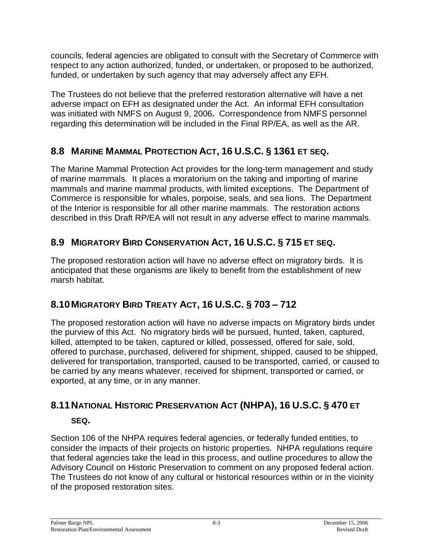councils, federal agencies are obligated to consult with the Secretary of Commerce with respect to any action authorized, funded, or undertaken, or proposed to be authorized, funded, or undertaken by such agency that may adversely affect any EFH.

The Trustees do not believe that the preferred restoration alternative will have a net adverse impact on EFH as designated under the Act. An informal EFH consultation was initiated with NMFS on August 9, 2006**.** Correspondence from NMFS personnel regarding this determination will be included in the Final RP/EA, as well as the AR.

### **8.8 MARINE MAMMAL PROTECTION ACT, 16 U.S.C. § 1361 ET SEQ.**

The Marine Mammal Protection Act provides for the long-term management and study of marine mammals. It places a moratorium on the taking and importing of marine mammals and marine mammal products, with limited exceptions. The Department of Commerce is responsible for whales, porpoise, seals, and sea lions. The Department of the Interior is responsible for all other marine mammals. The restoration actions described in this Draft RP/EA will not result in any adverse effect to marine mammals.

### **8.9 MIGRATORY BIRD CONSERVATION ACT, 16 U.S.C. § 715 ET SEQ.**

The proposed restoration action will have no adverse effect on migratory birds. It is anticipated that these organisms are likely to benefit from the establishment of new marsh habitat.

### **8.10MIGRATORY BIRD TREATY ACT, 16 U.S.C. § 703 –712**

The proposed restoration action will have no adverse impacts on Migratory birds under the purview of this Act. No migratory birds will be pursued, hunted, taken, captured, killed, attempted to be taken, captured or killed, possessed, offered for sale, sold, offered to purchase, purchased, delivered for shipment, shipped, caused to be shipped, delivered for transportation, transported, caused to be transported, carried, or caused to be carried by any means whatever, received for shipment, transported or carried, or exported, at any time, or in any manner.

## **8.11NATIONAL HISTORIC PRESERVATION ACT (NHPA), 16 U.S.C. § 470 ET**

### **SEQ.**

Section 106 of the NHPA requires federal agencies, or federally funded entities, to consider the impacts of their projects on historic properties. NHPA regulations require that federal agencies take the lead in this process, and outline procedures to allow the Advisory Council on Historic Preservation to comment on any proposed federal action. The Trustees do not know of any cultural or historical resources within or in the vicinity of the proposed restoration sites.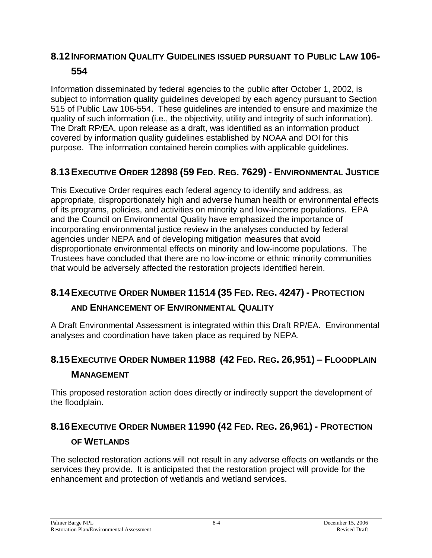### **8.12INFORMATION QUALITY GUIDELINES ISSUED PURSUANT TO PUBLIC LAW 106- 554**

Information disseminated by federal agencies to the public after October 1, 2002, is subject to information quality guidelines developed by each agency pursuant to Section 515 of Public Law 106-554. These guidelines are intended to ensure and maximize the quality of such information (i.e., the objectivity, utility and integrity of such information). The Draft RP/EA, upon release as a draft, was identified as an information product covered by information quality guidelines established by NOAA and DOI for this purpose. The information contained herein complies with applicable guidelines.

### **8.13EXECUTIVE ORDER 12898 (59 FED. REG. 7629) - ENVIRONMENTAL JUSTICE**

This Executive Order requires each federal agency to identify and address, as appropriate, disproportionately high and adverse human health or environmental effects of its programs, policies, and activities on minority and low-income populations. EPA and the Council on Environmental Quality have emphasized the importance of incorporating environmental justice review in the analyses conducted by federal agencies under NEPA and of developing mitigation measures that avoid disproportionate environmental effects on minority and low-income populations. The Trustees have concluded that there are no low-income or ethnic minority communities that would be adversely affected the restoration projects identified herein.

### **8.14EXECUTIVE ORDER NUMBER 11514 (35 FED. REG. 4247) - PROTECTION AND ENHANCEMENT OF ENVIRONMENTAL QUALITY**

A Draft Environmental Assessment is integrated within this Draft RP/EA. Environmental analyses and coordination have taken place as required by NEPA.

### **8.15EXECUTIVE ORDER NUMBER 11988 (42 FED. REG. 26,951) –FLOODPLAIN MANAGEMENT**

This proposed restoration action does directly or indirectly support the development of the floodplain.

## **8.16EXECUTIVE ORDER NUMBER 11990 (42 FED. REG. 26,961) - PROTECTION OF WETLANDS**

The selected restoration actions will not result in any adverse effects on wetlands or the services they provide. It is anticipated that the restoration project will provide for the enhancement and protection of wetlands and wetland services.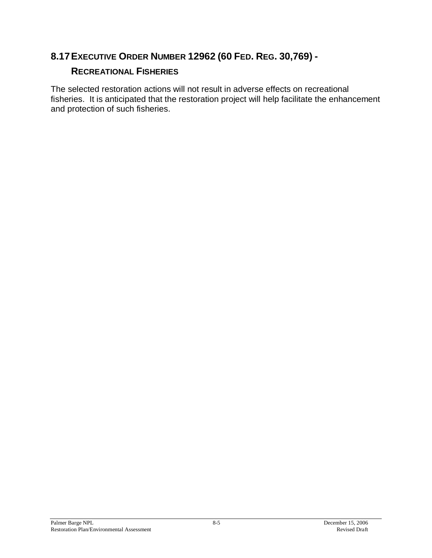### **8.17EXECUTIVE ORDER NUMBER 12962 (60 FED. REG. 30,769) -**

### **RECREATIONAL FISHERIES**

The selected restoration actions will not result in adverse effects on recreational fisheries. It is anticipated that the restoration project will help facilitate the enhancement and protection of such fisheries.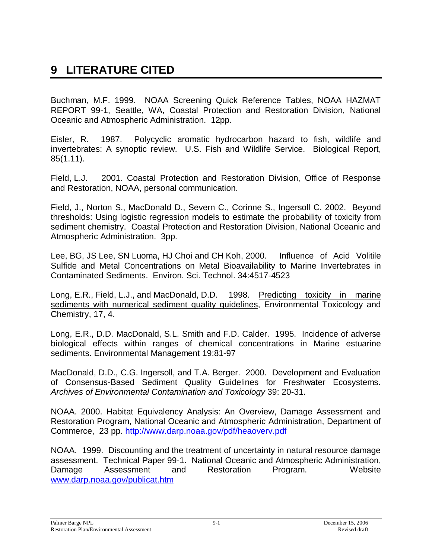## **9 LITERATURE CITED**

Buchman, M.F. 1999. NOAA Screening Quick Reference Tables, NOAA HAZMAT REPORT 99-1, Seattle, WA, Coastal Protection and Restoration Division, National Oceanic and Atmospheric Administration. 12pp.

Eisler, R. 1987. Polycyclic aromatic hydrocarbon hazard to fish, wildlife and invertebrates: A synoptic review. U.S. Fish and Wildlife Service. Biological Report, 85(1.11).

Field, L.J. 2001. Coastal Protection and Restoration Division, Office of Response and Restoration, NOAA, personal communication.

Field, J., Norton S., MacDonald D., Severn C., Corinne S., Ingersoll C. 2002. Beyond thresholds: Using logistic regression models to estimate the probability of toxicity from sediment chemistry. Coastal Protection and Restoration Division, National Oceanic and Atmospheric Administration. 3pp.

Lee, BG, JS Lee, SN Luoma, HJ Choi and CH Koh, 2000. Influence of Acid Volitile Sulfide and Metal Concentrations on Metal Bioavailability to Marine Invertebrates in Contaminated Sediments. Environ. Sci. Technol. 34:4517-4523

Long, E.R., Field, L.J., and MacDonald, D.D. 1998. Predicting toxicity in marine sediments with numerical sediment quality guidelines, Environmental Toxicology and Chemistry, 17, 4.

Long, E.R., D.D. MacDonald, S.L. Smith and F.D. Calder. 1995. Incidence of adverse biological effects within ranges of chemical concentrations in Marine estuarine sediments. Environmental Management 19:81-97

MacDonald, D.D., C.G. Ingersoll, and T.A. Berger. 2000. Development and Evaluation of Consensus-Based Sediment Quality Guidelines for Freshwater Ecosystems. *Archives of Environmental Contamination and Toxicology* 39: 20-31.

NOAA. 2000. Habitat Equivalency Analysis: An Overview, Damage Assessment and Restoration Program, National Oceanic and Atmospheric Administration, Department of Commerce, 23 pp. http://www.darp.noaa.gov/pdf/heaoverv.pdf

NOAA. 1999. Discounting and the treatment of uncertainty in natural resource damage assessment. Technical Paper 99-1. National Oceanic and Atmospheric Administration, Damage Assessment and Restoration Program. Website www.darp.noaa.gov/publicat.htm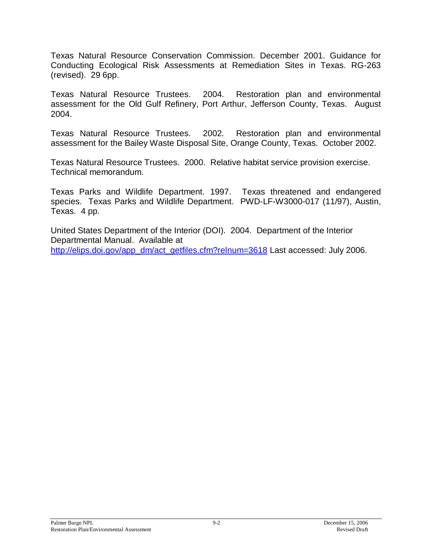Texas Natural Resource Conservation Commission. December 2001. Guidance for Conducting Ecological Risk Assessments at Remediation Sites in Texas. RG-263 (revised). 29 6pp.

Texas Natural Resource Trustees. 2004. Restoration plan and environmental assessment for the Old Gulf Refinery, Port Arthur, Jefferson County, Texas. August 2004.

Texas Natural Resource Trustees. 2002. Restoration plan and environmental assessment for the Bailey Waste Disposal Site, Orange County, Texas. October 2002.

Texas Natural Resource Trustees. 2000. Relative habitat service provision exercise. Technical memorandum.

Texas Parks and Wildlife Department. 1997. Texas threatened and endangered species. Texas Parks and Wildlife Department. PWD-LF-W3000-017 (11/97), Austin, Texas. 4 pp.

United States Department of the Interior (DOI). 2004. Department of the Interior Departmental Manual. Available at http://elips.doi.gov/app\_dm/act\_getfiles.cfm?relnum=3618 Last accessed: July 2006.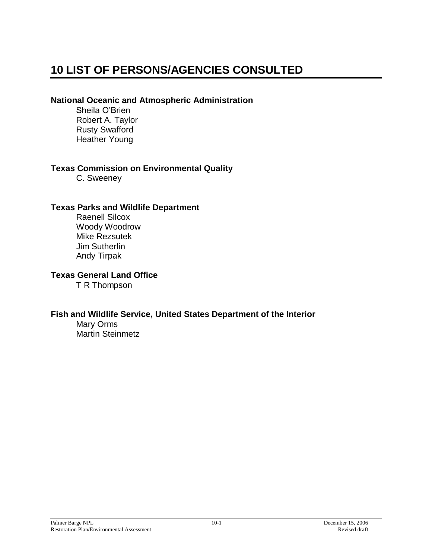## **10 LIST OF PERSONS/AGENCIES CONSULTED**

#### **National Oceanic and Atmospheric Administration**

Sheila O'Brien Robert A. Taylor Rusty Swafford Heather Young

#### **Texas Commission on Environmental Quality**

C. Sweeney

#### **Texas Parks and Wildlife Department**

Raenell Silcox Woody Woodrow Mike Rezsutek Jim Sutherlin Andy Tirpak

#### **Texas General Land Office**

T R Thompson

#### **Fish and Wildlife Service, United States Department of the Interior**

Mary Orms Martin Steinmetz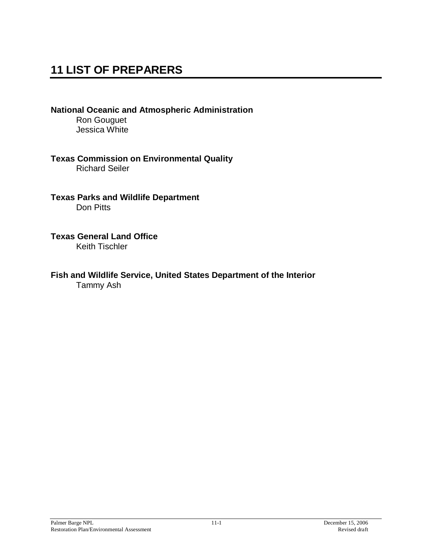## **11 LIST OF PREPARERS**

**National Oceanic and Atmospheric Administration** Ron Gouguet Jessica White

**Texas Commission on Environmental Quality** Richard Seiler

**Texas Parks and Wildlife Department** Don Pitts

**Texas General Land Office** Keith Tischler

**Fish and Wildlife Service, United States Department of the Interior** Tammy Ash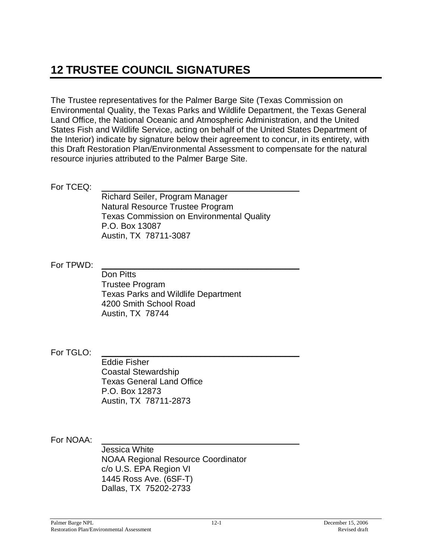## **12 TRUSTEE COUNCIL SIGNATURES**

The Trustee representatives for the Palmer Barge Site (Texas Commission on Environmental Quality, the Texas Parks and Wildlife Department, the Texas General Land Office, the National Oceanic and Atmospheric Administration, and the United States Fish and Wildlife Service, acting on behalf of the United States Department of the Interior) indicate by signature below their agreement to concur, in its entirety, with this Draft Restoration Plan/Environmental Assessment to compensate for the natural resource injuries attributed to the Palmer Barge Site.

For TCEQ:

Richard Seiler, Program Manager Natural Resource Trustee Program Texas Commission on Environmental Quality P.O. Box 13087 Austin, TX 78711-3087

For TPWD:

Don Pitts Trustee Program Texas Parks and Wildlife Department 4200 Smith School Road Austin, TX 78744

For  $TGI$  O:

Eddie Fisher Coastal Stewardship Texas General Land Office P.O. Box 12873 Austin, TX 78711-2873

For NOAA:

Jessica White NOAA Regional Resource Coordinator c/o U.S. EPA Region VI 1445 Ross Ave. (6SF-T) Dallas, TX 75202-2733